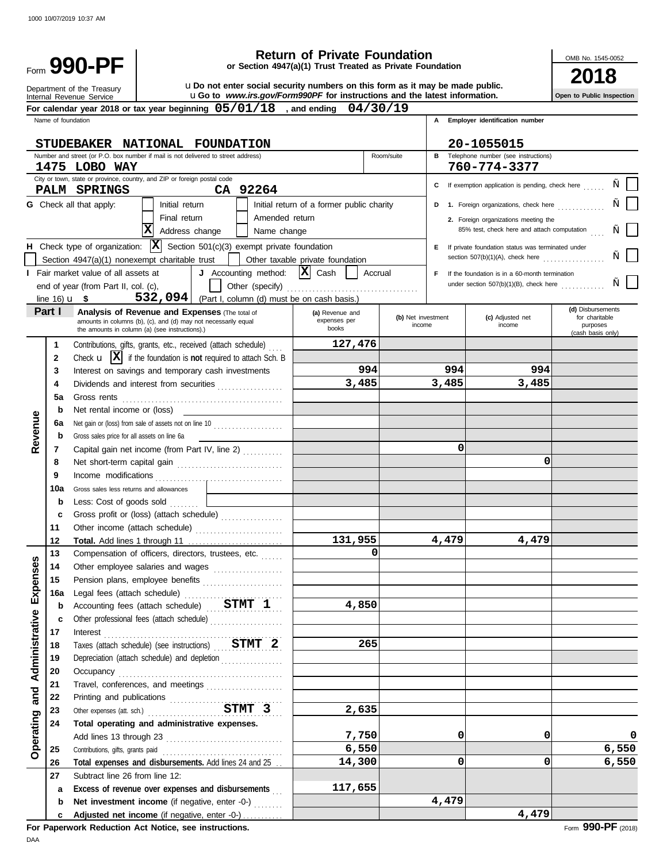| <b>Return of Private Foundation</b><br>Form 990-PF<br>or Section 4947(a)(1) Trust Treated as Private Foundation |                    |                                                                                                                  |                     |                                                                                                   |                                           | OMB No. 1545-0052 |                    |                                                     |                                     |
|-----------------------------------------------------------------------------------------------------------------|--------------------|------------------------------------------------------------------------------------------------------------------|---------------------|---------------------------------------------------------------------------------------------------|-------------------------------------------|-------------------|--------------------|-----------------------------------------------------|-------------------------------------|
| uDo not enter social security numbers on this form as it may be made public.<br>Department of the Treasury      |                    |                                                                                                                  |                     |                                                                                                   |                                           |                   |                    |                                                     |                                     |
| uGo to www.irs.gov/Form990PF for instructions and the latest information.<br>Internal Revenue Service           |                    |                                                                                                                  |                     |                                                                                                   |                                           |                   |                    | Open to Public Inspection                           |                                     |
|                                                                                                                 |                    |                                                                                                                  |                     | For calendar year 2018 or tax year beginning $05/01/18$ , and ending                              |                                           | 04/30/19          |                    |                                                     |                                     |
|                                                                                                                 | Name of foundation |                                                                                                                  |                     |                                                                                                   |                                           |                   |                    | A Employer identification number                    |                                     |
|                                                                                                                 |                    |                                                                                                                  |                     | STUDEBAKER NATIONAL FOUNDATION                                                                    |                                           |                   |                    | 20-1055015                                          |                                     |
|                                                                                                                 |                    | Number and street (or P.O. box number if mail is not delivered to street address)                                |                     |                                                                                                   |                                           | Room/suite        |                    | <b>B</b> Telephone number (see instructions)        |                                     |
|                                                                                                                 |                    | 1475 LOBO WAY                                                                                                    |                     |                                                                                                   |                                           |                   |                    | 760-774-3377                                        |                                     |
|                                                                                                                 |                    | City or town, state or province, country, and ZIP or foreign postal code<br>PALM SPRINGS                         |                     | CA 92264                                                                                          |                                           |                   |                    | C If exemption application is pending, check here   |                                     |
|                                                                                                                 |                    | <b>G</b> Check all that apply:                                                                                   | Initial return      |                                                                                                   | Initial return of a former public charity |                   | D                  | 1. Foreign organizations, check here                |                                     |
|                                                                                                                 |                    |                                                                                                                  | Final return        | Amended return                                                                                    |                                           |                   |                    | 2. Foreign organizations meeting the                |                                     |
|                                                                                                                 |                    |                                                                                                                  | X<br>Address change | Name change                                                                                       |                                           |                   |                    | 85% test, check here and attach computation         |                                     |
|                                                                                                                 |                    |                                                                                                                  |                     | H Check type of organization: $ \mathbf{X} $ Section 501(c)(3) exempt private foundation          |                                           |                   |                    | E If private foundation status was terminated under |                                     |
|                                                                                                                 |                    | Section $4947(a)(1)$ nonexempt charitable trust                                                                  |                     |                                                                                                   | Other taxable private foundation          |                   |                    | section $507(b)(1)(A)$ , check here                 |                                     |
|                                                                                                                 |                    | I Fair market value of all assets at                                                                             |                     | J Accounting method:                                                                              | $ \mathbf{X} $ Cash                       | Accrual           | F.                 | If the foundation is in a 60-month termination      |                                     |
|                                                                                                                 |                    | end of year (from Part II, col. (c),                                                                             |                     |                                                                                                   |                                           |                   |                    | under section $507(b)(1)(B)$ , check here           |                                     |
|                                                                                                                 |                    | line 16) $\mathbf{u}$ \$                                                                                         |                     | 532,094 (Part I, column (d) must be on cash basis.)                                               |                                           |                   |                    |                                                     |                                     |
|                                                                                                                 | Part I             | <b>Analysis of Revenue and Expenses (The total of</b>                                                            |                     |                                                                                                   | (a) Revenue and                           |                   | (b) Net investment | (c) Adjusted net                                    | (d) Disbursements<br>for charitable |
|                                                                                                                 |                    | amounts in columns (b), (c), and (d) may not necessarily equal<br>the amounts in column (a) (see instructions).) |                     |                                                                                                   | expenses per<br>books                     |                   | income             | income                                              | purposes                            |
|                                                                                                                 | $\mathbf 1$        |                                                                                                                  |                     | Contributions, gifts, grants, etc., received (attach schedule)                                    | 127,476                                   |                   |                    |                                                     | (cash basis only)                   |
|                                                                                                                 | $\mathbf{2}$       |                                                                                                                  |                     | Check $\mathbf{u}$ $\mathbf{X}$ if the foundation is not required to attach Sch. B                |                                           |                   |                    |                                                     |                                     |
|                                                                                                                 | 3                  |                                                                                                                  |                     | Interest on savings and temporary cash investments                                                |                                           | 994               | 994                | 994                                                 |                                     |
|                                                                                                                 | 4                  |                                                                                                                  |                     | Dividends and interest from securities                                                            | 3,485                                     |                   | 3,485              | 3,485                                               |                                     |
|                                                                                                                 | 5a                 |                                                                                                                  |                     |                                                                                                   |                                           |                   |                    |                                                     |                                     |
|                                                                                                                 | b                  | Net rental income or (loss)                                                                                      |                     |                                                                                                   |                                           |                   |                    |                                                     |                                     |
|                                                                                                                 | 6а                 |                                                                                                                  |                     | Net gain or (loss) from sale of assets not on line 10                                             |                                           |                   |                    |                                                     |                                     |
| Revenue                                                                                                         | b                  | Gross sales price for all assets on line 6a                                                                      |                     |                                                                                                   |                                           |                   |                    |                                                     |                                     |
|                                                                                                                 | 7                  |                                                                                                                  |                     | Capital gain net income (from Part IV, line 2)                                                    |                                           |                   | 0                  |                                                     |                                     |
|                                                                                                                 | 8                  |                                                                                                                  |                     |                                                                                                   |                                           |                   |                    | 0                                                   |                                     |
|                                                                                                                 | 9                  |                                                                                                                  |                     |                                                                                                   |                                           |                   |                    |                                                     |                                     |
|                                                                                                                 | 10a                | Gross sales less returns and allowances<br>Less: Cost of goods sold                                              |                     |                                                                                                   |                                           |                   |                    |                                                     |                                     |
|                                                                                                                 | b<br>c             |                                                                                                                  |                     | Gross profit or (loss) (attach schedule)                                                          |                                           |                   |                    |                                                     |                                     |
|                                                                                                                 | 11                 |                                                                                                                  |                     |                                                                                                   |                                           |                   |                    |                                                     |                                     |
|                                                                                                                 | 12                 | Total. Add lines 1 through 11                                                                                    |                     |                                                                                                   | 131,955                                   |                   | 4,479              | 4,479                                               |                                     |
|                                                                                                                 | 13                 |                                                                                                                  |                     | Compensation of officers, directors, trustees, etc.                                               |                                           | $\Omega$          |                    |                                                     |                                     |
| Expenses                                                                                                        | 14                 |                                                                                                                  |                     | Other employee salaries and wages                                                                 |                                           |                   |                    |                                                     |                                     |
|                                                                                                                 | 15                 |                                                                                                                  |                     | Pension plans, employee benefits                                                                  |                                           |                   |                    |                                                     |                                     |
|                                                                                                                 | 16a                |                                                                                                                  |                     | Legal fees (attach schedule)                                                                      |                                           |                   |                    |                                                     |                                     |
|                                                                                                                 | b                  |                                                                                                                  |                     | Accounting fees (attach schedule) STMT 1                                                          | 4,850                                     |                   |                    |                                                     |                                     |
|                                                                                                                 | c                  |                                                                                                                  |                     | Other professional fees (attach schedule)                                                         |                                           |                   |                    |                                                     |                                     |
|                                                                                                                 | 17                 | Interest                                                                                                         |                     |                                                                                                   |                                           |                   |                    |                                                     |                                     |
| Administrative                                                                                                  | 18<br>19           |                                                                                                                  |                     | Taxes (attach schedule) (see instructions) STMT 2<br>Depreciation (attach schedule) and depletion |                                           | 265               |                    |                                                     |                                     |
|                                                                                                                 | 20                 |                                                                                                                  |                     |                                                                                                   |                                           |                   |                    |                                                     |                                     |
|                                                                                                                 | 21                 |                                                                                                                  |                     | Travel, conferences, and meetings                                                                 |                                           |                   |                    |                                                     |                                     |
| and                                                                                                             | 22                 |                                                                                                                  |                     |                                                                                                   |                                           |                   |                    |                                                     |                                     |
|                                                                                                                 | 23                 |                                                                                                                  |                     | Other expenses (att. sch.) STMT 3                                                                 | 2,635                                     |                   |                    |                                                     |                                     |
|                                                                                                                 | 24                 | Total operating and administrative expenses.                                                                     |                     |                                                                                                   |                                           |                   |                    |                                                     |                                     |
| Operating                                                                                                       |                    |                                                                                                                  |                     |                                                                                                   | 7,750                                     |                   | 0                  | 0                                                   | 0                                   |
|                                                                                                                 | 25                 |                                                                                                                  |                     |                                                                                                   | 6,550                                     |                   |                    |                                                     | 6,550                               |
|                                                                                                                 | 26                 |                                                                                                                  |                     | Total expenses and disbursements. Add lines 24 and 25                                             | 14,300                                    |                   | 0                  | 0                                                   | 6,550                               |
|                                                                                                                 | 27                 | Subtract line 26 from line 12:                                                                                   |                     |                                                                                                   |                                           |                   |                    |                                                     |                                     |
|                                                                                                                 | a                  |                                                                                                                  |                     | Excess of revenue over expenses and disbursements                                                 | 117,655                                   |                   |                    |                                                     |                                     |
|                                                                                                                 | b                  |                                                                                                                  |                     | Net investment income (if negative, enter -0-)                                                    |                                           |                   | 4,479              |                                                     |                                     |
|                                                                                                                 | c                  |                                                                                                                  |                     | Adjusted net income (if negative, enter -0-)                                                      |                                           |                   |                    | 4,479                                               |                                     |

**For Paperwork Reduction Act Notice, see instructions.**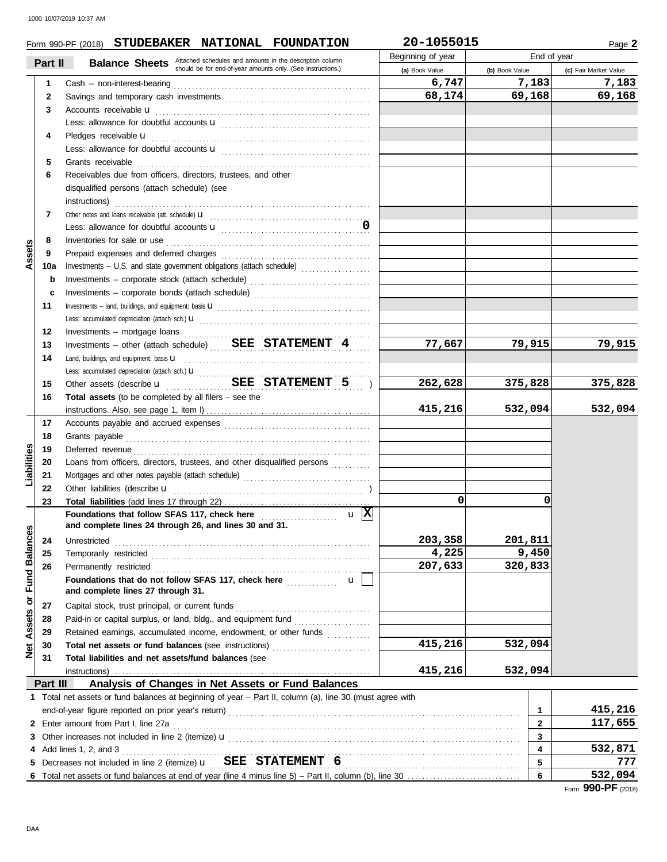|                                |          | Form 990-PF (2018) STUDEBAKER NATIONAL FOUNDATION                                                                                          | 20-1055015        |                         | Page 2                |
|--------------------------------|----------|--------------------------------------------------------------------------------------------------------------------------------------------|-------------------|-------------------------|-----------------------|
|                                | Part II  |                                                                                                                                            | Beginning of year | End of year             |                       |
|                                |          | <b>Balance Sheets</b> Attached schedules and amounts in the description column should be for end-of-year amounts only. (See instructions.) | (a) Book Value    | (b) Book Value          | (c) Fair Market Value |
|                                | 1        |                                                                                                                                            | 6,747             | 7,183                   | 7,183                 |
|                                | 2        |                                                                                                                                            | 68,174            | 69,168                  | 69,168                |
|                                | 3        | Accounts receivable <b>u</b>                                                                                                               |                   |                         |                       |
|                                |          |                                                                                                                                            |                   |                         |                       |
|                                | 4        | Pledges receivable <b>u</b>                                                                                                                |                   |                         |                       |
|                                |          |                                                                                                                                            |                   |                         |                       |
|                                | 5        | Grants receivable                                                                                                                          |                   |                         |                       |
|                                | 6        | Receivables due from officers, directors, trustees, and other                                                                              |                   |                         |                       |
|                                |          | disqualified persons (attach schedule) (see                                                                                                |                   |                         |                       |
|                                |          | instructions)                                                                                                                              |                   |                         |                       |
|                                | 7        |                                                                                                                                            |                   |                         |                       |
|                                |          |                                                                                                                                            |                   |                         |                       |
|                                | 8        |                                                                                                                                            |                   |                         |                       |
| Assets                         | 9        |                                                                                                                                            |                   |                         |                       |
|                                | 10a      | Investments - U.S. and state government obligations (attach schedule)                                                                      |                   |                         |                       |
|                                | b        | Investments - corporate stock (attach schedule)                                                                                            |                   |                         |                       |
|                                | c        | Investments - corporate bonds (attach schedule)                                                                                            |                   |                         |                       |
|                                | 11       |                                                                                                                                            |                   |                         |                       |
|                                |          |                                                                                                                                            |                   |                         |                       |
|                                | 12       |                                                                                                                                            |                   |                         |                       |
|                                | 13       | Investments - other (attach schedule)  SEE STATEMENT 4                                                                                     | 77,667            | 79,915                  | 79,915                |
|                                | 14       | Land, buildings, and equipment: basis <b>u</b>                                                                                             |                   |                         |                       |
|                                |          |                                                                                                                                            |                   |                         |                       |
|                                | 15       | Other assets (describe <b>u</b> SEE STATEMENT 5 )                                                                                          | 262,628           | 375,828                 | 375,828               |
|                                | 16       | Total assets (to be completed by all filers $-$ see the                                                                                    |                   |                         |                       |
|                                |          |                                                                                                                                            | 415,216           | 532,094                 | 532,094               |
|                                | 17       |                                                                                                                                            |                   |                         |                       |
|                                | 18       |                                                                                                                                            |                   |                         |                       |
|                                | 19       | Deferred revenue                                                                                                                           |                   |                         |                       |
| Liabilities                    | 20       | Loans from officers, directors, trustees, and other disqualified persons                                                                   |                   |                         |                       |
|                                | 21       |                                                                                                                                            |                   |                         |                       |
|                                | 22       | Other liabilities (describe u                                                                                                              |                   |                         |                       |
|                                | 23       |                                                                                                                                            | $\mathbf 0$       | 0                       |                       |
|                                |          | $\mathbf{u}$  X <br>Foundations that follow SFAS 117, check here                                                                           |                   |                         |                       |
|                                |          | and complete lines 24 through 26, and lines 30 and 31.                                                                                     |                   |                         |                       |
|                                | 24       | Unrestricted                                                                                                                               | 203,358           | 201,811                 |                       |
|                                | 25       |                                                                                                                                            | 4,225             | 9,450                   |                       |
|                                | 26       | Permanently restricted                                                                                                                     | 207,633           | 320,833                 |                       |
|                                |          | Foundations that do not follow SFAS 117, check here <i>mimimimation</i><br>$\mathbf{u}$                                                    |                   |                         |                       |
|                                |          | and complete lines 27 through 31.                                                                                                          |                   |                         |                       |
|                                | 27       | Capital stock, trust principal, or current funds                                                                                           |                   |                         |                       |
| <b>Assets or Fund Balances</b> | 28       |                                                                                                                                            |                   |                         |                       |
|                                | 29       | Retained earnings, accumulated income, endowment, or other funds                                                                           |                   |                         |                       |
|                                | 30       |                                                                                                                                            | 415,216           | 532,094                 |                       |
| <u>ə</u>                       | 31       | Total liabilities and net assets/fund balances (see                                                                                        |                   |                         |                       |
|                                |          | instructions)                                                                                                                              | 415,216           | 532,094                 |                       |
|                                | Part III | Analysis of Changes in Net Assets or Fund Balances                                                                                         |                   |                         |                       |
|                                |          | 1 Total net assets or fund balances at beginning of year - Part II, column (a), line 30 (must agree with                                   |                   |                         |                       |
|                                |          |                                                                                                                                            |                   | $\mathbf{1}$            | 415,216               |
|                                |          | 2 Enter amount from Part I, line 27a                                                                                                       |                   | $\overline{2}$          | 117,655               |
|                                |          |                                                                                                                                            |                   | 3                       |                       |
|                                |          | 4 Add lines 1, 2, and 3                                                                                                                    |                   | $\overline{\mathbf{4}}$ | 532,871               |
|                                |          |                                                                                                                                            |                   | 5                       | 777                   |
|                                |          |                                                                                                                                            |                   | 6                       | 532,094               |
|                                |          |                                                                                                                                            |                   |                         | Form 990-PF (2018)    |
|                                |          |                                                                                                                                            |                   |                         |                       |
|                                |          |                                                                                                                                            |                   |                         |                       |
| DAA                            |          |                                                                                                                                            |                   |                         |                       |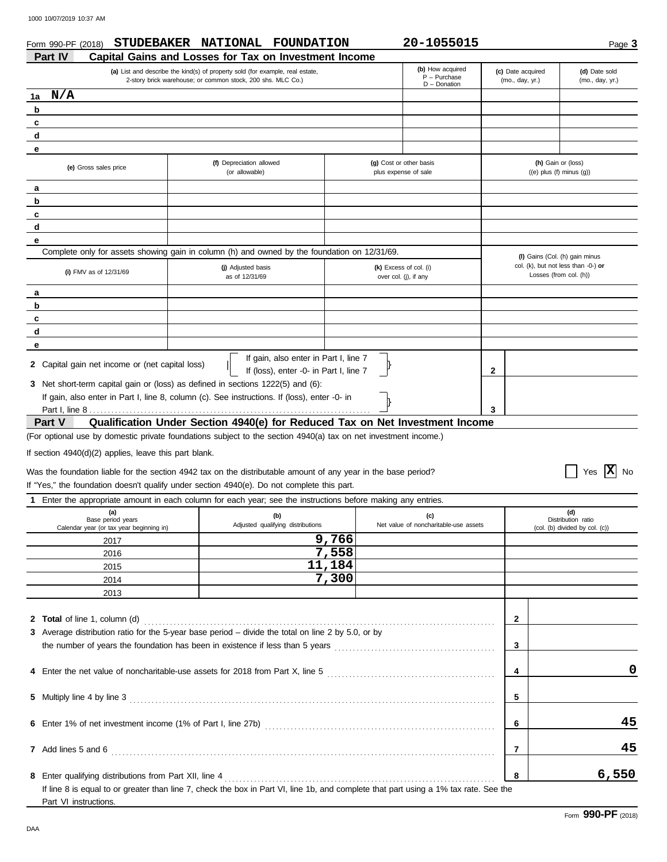| <b>Part IV</b>                                                                                                          | STUDEBAKER NATIONAL FOUNDATION<br>Capital Gains and Losses for Tax on Investment Income                                                                                                                                                                            |                                                 | 20-1055015                                            |                                                       | Page 3                                                        |
|-------------------------------------------------------------------------------------------------------------------------|--------------------------------------------------------------------------------------------------------------------------------------------------------------------------------------------------------------------------------------------------------------------|-------------------------------------------------|-------------------------------------------------------|-------------------------------------------------------|---------------------------------------------------------------|
|                                                                                                                         | (a) List and describe the kind(s) of property sold (for example, real estate,<br>2-story brick warehouse; or common stock, 200 shs. MLC Co.)                                                                                                                       |                                                 | (b) How acquired<br>$P - P$ urchase<br>$D$ – Donation | (c) Date acquired<br>(mo., day, yr.)                  | (d) Date sold<br>(mo., day, yr.)                              |
| N/A<br>1a                                                                                                               |                                                                                                                                                                                                                                                                    |                                                 |                                                       |                                                       |                                                               |
| b                                                                                                                       |                                                                                                                                                                                                                                                                    |                                                 |                                                       |                                                       |                                                               |
| c                                                                                                                       |                                                                                                                                                                                                                                                                    |                                                 |                                                       |                                                       |                                                               |
| d                                                                                                                       |                                                                                                                                                                                                                                                                    |                                                 |                                                       |                                                       |                                                               |
| е                                                                                                                       |                                                                                                                                                                                                                                                                    |                                                 |                                                       |                                                       |                                                               |
| (e) Gross sales price                                                                                                   | (f) Depreciation allowed<br>(or allowable)                                                                                                                                                                                                                         | (g) Cost or other basis<br>plus expense of sale |                                                       | (h) Gain or (loss)<br>$((e)$ plus $(f)$ minus $(g)$ ) |                                                               |
| а                                                                                                                       |                                                                                                                                                                                                                                                                    |                                                 |                                                       |                                                       |                                                               |
| b                                                                                                                       |                                                                                                                                                                                                                                                                    |                                                 |                                                       |                                                       |                                                               |
| c                                                                                                                       |                                                                                                                                                                                                                                                                    |                                                 |                                                       |                                                       |                                                               |
| d                                                                                                                       |                                                                                                                                                                                                                                                                    |                                                 |                                                       |                                                       |                                                               |
| е                                                                                                                       |                                                                                                                                                                                                                                                                    |                                                 |                                                       |                                                       |                                                               |
|                                                                                                                         | Complete only for assets showing gain in column (h) and owned by the foundation on 12/31/69.                                                                                                                                                                       |                                                 |                                                       | (I) Gains (Col. (h) gain minus                        |                                                               |
| (i) FMV as of $12/31/69$                                                                                                | (j) Adjusted basis<br>as of 12/31/69                                                                                                                                                                                                                               |                                                 | (k) Excess of col. (i)<br>over col. (j), if any       |                                                       | col. (k), but not less than -0-) or<br>Losses (from col. (h)) |
| а                                                                                                                       |                                                                                                                                                                                                                                                                    |                                                 |                                                       |                                                       |                                                               |
| b                                                                                                                       |                                                                                                                                                                                                                                                                    |                                                 |                                                       |                                                       |                                                               |
| c                                                                                                                       |                                                                                                                                                                                                                                                                    |                                                 |                                                       |                                                       |                                                               |
| d                                                                                                                       |                                                                                                                                                                                                                                                                    |                                                 |                                                       |                                                       |                                                               |
|                                                                                                                         |                                                                                                                                                                                                                                                                    |                                                 |                                                       |                                                       |                                                               |
|                                                                                                                         |                                                                                                                                                                                                                                                                    |                                                 |                                                       |                                                       |                                                               |
|                                                                                                                         | If gain, also enter in Part I, line 7<br>If (loss), enter -0- in Part I, line 7<br>3 Net short-term capital gain or (loss) as defined in sections 1222(5) and (6):<br>If gain, also enter in Part I, line 8, column (c). See instructions. If (loss), enter -0- in |                                                 |                                                       | 2                                                     |                                                               |
|                                                                                                                         |                                                                                                                                                                                                                                                                    |                                                 |                                                       | 3                                                     |                                                               |
|                                                                                                                         | Qualification Under Section 4940(e) for Reduced Tax on Net Investment Income                                                                                                                                                                                       |                                                 |                                                       |                                                       |                                                               |
|                                                                                                                         | (For optional use by domestic private foundations subject to the section 4940(a) tax on net investment income.)                                                                                                                                                    |                                                 |                                                       |                                                       |                                                               |
| е<br>2 Capital gain net income or (net capital loss)<br>Part V<br>If section 4940(d)(2) applies, leave this part blank. | Was the foundation liable for the section 4942 tax on the distributable amount of any year in the base period?                                                                                                                                                     |                                                 |                                                       |                                                       | Yes $ \mathbf{X} $<br><b>No</b>                               |
|                                                                                                                         | If "Yes," the foundation doesn't qualify under section 4940(e). Do not complete this part.                                                                                                                                                                         |                                                 |                                                       |                                                       |                                                               |
|                                                                                                                         | 1 Enter the appropriate amount in each column for each year; see the instructions before making any entries.                                                                                                                                                       |                                                 |                                                       |                                                       |                                                               |
| (a)<br>Base period years<br>Calendar year (or tax year beginning in)                                                    | (b)<br>Adjusted qualifying distributions                                                                                                                                                                                                                           |                                                 | (c)<br>Net value of noncharitable-use assets          |                                                       | (d)<br>Distribution ratio<br>(col. (b) divided by col. (c))   |
| 2017                                                                                                                    |                                                                                                                                                                                                                                                                    | 9,766                                           |                                                       |                                                       |                                                               |
| 2016                                                                                                                    |                                                                                                                                                                                                                                                                    | 7,558                                           |                                                       |                                                       |                                                               |
| 2015                                                                                                                    |                                                                                                                                                                                                                                                                    | 11,184                                          |                                                       |                                                       |                                                               |
| 2014                                                                                                                    |                                                                                                                                                                                                                                                                    | 7,300                                           |                                                       |                                                       |                                                               |

| 8 Enter qualifying distributions from Part XII, line 4                                                                               |  |
|--------------------------------------------------------------------------------------------------------------------------------------|--|
| If line 8 is equal to or greater than line 7, check the box in Part VI, line 1b, and complete that part using a 1% tax rate. See the |  |
| Part VI instructions.                                                                                                                |  |

**4 4** Enter the net value of noncharitable-use assets for 2018 from Part X, line 5 . . . . . . . . . . . . . . . . . . . . . . . . . . . . . . . . . . . . . . . . . . . . . .

the number of years the foundation has been in existence if less than 5 years . . . . . . . . . . . . . . . . . . . . . . . . . . . . . . . . . . . . . . . . . . . .

**5 5** Multiply line 4 by line 3 . . . . . . . . . . . . . . . . . . . . . . . . . . . . . . . . . . . . . . . . . . . . . . . . . . . . . . . . . . . . . . . . . . . . . . . . . . . . . . . . . . . . . . . . . . . . . . . . . . . .

**6 6** Enter 1% of net investment income (1% of Part I, line 27b) . . . . . . . . . . . . . . . . . . . . . . . . . . . . . . . . . . . . . . . . . . . . . . . . . . . . . . . . . . . . . . .

**7 7** Add lines 5 and 6 . . . . . . . . . . . . . . . . . . . . . . . . . . . . . . . . . . . . . . . . . . . . . . . . . . . . . . . . . . . . . . . . . . . . . . . . . . . . . . . . . . . . . . . . . . . . . . . . . . . . . . . . .

**0**

**45**

**45**

**6,550**

**3**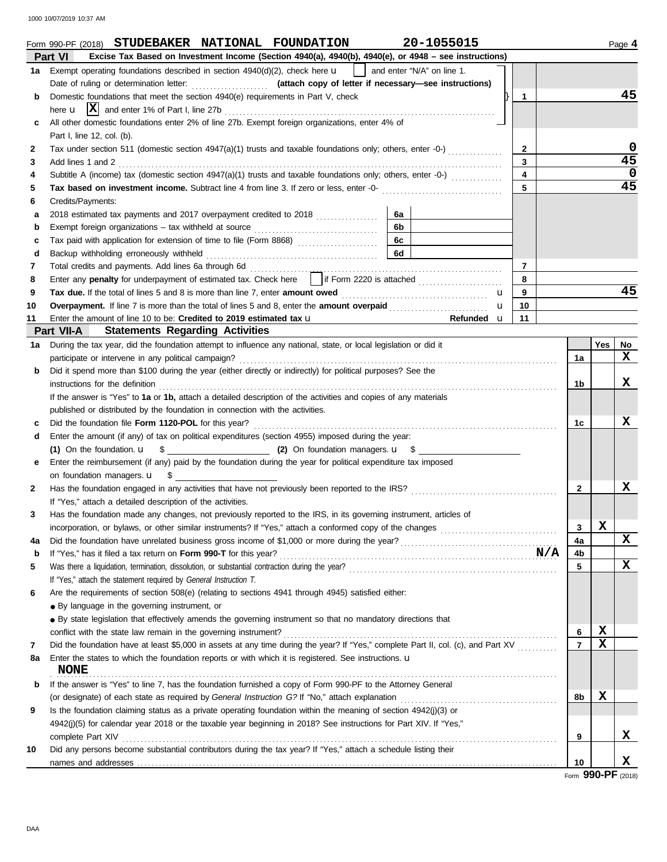1000 10/07/2019 10:37 AM

|    | 20-1055015<br>Form 990-PF (2018) STUDEBAKER NATIONAL FOUNDATION                                                                                                                                                                |                         |                |             | Page 4          |
|----|--------------------------------------------------------------------------------------------------------------------------------------------------------------------------------------------------------------------------------|-------------------------|----------------|-------------|-----------------|
|    | Part VI<br>Excise Tax Based on Investment Income (Section 4940(a), 4940(b), 4940(e), or 4948 - see instructions)                                                                                                               |                         |                |             |                 |
|    | and enter "N/A" on line 1.<br>1a Exempt operating foundations described in section 4940(d)(2), check here <b>u</b>                                                                                                             |                         |                |             |                 |
|    |                                                                                                                                                                                                                                |                         |                |             |                 |
| b  | Domestic foundations that meet the section 4940(e) requirements in Part V, check                                                                                                                                               | $\mathbf{1}$            |                |             | 45              |
|    |                                                                                                                                                                                                                                |                         |                |             |                 |
| c  | All other domestic foundations enter 2% of line 27b. Exempt foreign organizations, enter 4% of                                                                                                                                 |                         |                |             |                 |
|    | Part I, line 12, col. (b).                                                                                                                                                                                                     |                         |                |             |                 |
| 2  | Tax under section 511 (domestic section 4947(a)(1) trusts and taxable foundations only; others, enter -0-)                                                                                                                     | $\mathbf{2}$            |                |             | 0               |
| 3  | Add lines 1 and 2                                                                                                                                                                                                              | 3                       |                |             | $\overline{45}$ |
| 4  | Subtitle A (income) tax (domestic section $4947(a)(1)$ trusts and taxable foundations only; others, enter -0-) $(1, 2, 3, 3, 4)$                                                                                               | $\overline{\mathbf{4}}$ |                |             | $\mathbf 0$     |
| 5  | Tax based on investment income. Subtract line 4 from line 3. If zero or less, enter -0-                                                                                                                                        | 5                       |                |             | $\overline{45}$ |
| 6  | Credits/Payments:                                                                                                                                                                                                              |                         |                |             |                 |
| a  | 6a                                                                                                                                                                                                                             |                         |                |             |                 |
| b  | 6b                                                                                                                                                                                                                             |                         |                |             |                 |
| c  | 6с                                                                                                                                                                                                                             |                         |                |             |                 |
| d  | 6d                                                                                                                                                                                                                             |                         |                |             |                 |
| 7  |                                                                                                                                                                                                                                | $\overline{7}$          |                |             |                 |
| 8  | Enter any penalty for underpayment of estimated tax. Check here     if Form 2220 is attached                                                                                                                                   | 8                       |                |             |                 |
| 9  | Tax due. If the total of lines 5 and 8 is more than line 7, enter amount owed <i></i><br>u                                                                                                                                     | 9                       |                |             | 45              |
| 10 | Overpayment. If line 7 is more than the total of lines 5 and 8, enter the amount overpaid<br>$\mathbf{u}$                                                                                                                      | 10                      |                |             |                 |
| 11 | Enter the amount of line 10 to be: Credited to 2019 estimated tax u<br>Refunded u                                                                                                                                              | 11                      |                |             |                 |
|    | <b>Statements Regarding Activities</b><br>Part VII-A                                                                                                                                                                           |                         |                |             |                 |
| 1а | During the tax year, did the foundation attempt to influence any national, state, or local legislation or did it                                                                                                               |                         |                | Yes         | No              |
|    | participate or intervene in any political campaign?                                                                                                                                                                            |                         | 1a             |             | x               |
| b  | Did it spend more than \$100 during the year (either directly or indirectly) for political purposes? See the                                                                                                                   |                         |                |             |                 |
|    | instructions for the definition                                                                                                                                                                                                |                         | 1b             |             | X               |
|    | If the answer is "Yes" to 1a or 1b, attach a detailed description of the activities and copies of any materials                                                                                                                |                         |                |             |                 |
|    | published or distributed by the foundation in connection with the activities.                                                                                                                                                  |                         |                |             |                 |
| c  |                                                                                                                                                                                                                                |                         | 1c             |             | x               |
| d  | Enter the amount (if any) of tax on political expenditures (section 4955) imposed during the year:                                                                                                                             |                         |                |             |                 |
|    | (1) On the foundation. $\mathbf{u} = \begin{bmatrix} 0 \\ 1 \end{bmatrix}$ On foundation managers. $\mathbf{u} = \begin{bmatrix} 1 \\ 2 \end{bmatrix}$                                                                         |                         |                |             |                 |
| е  | Enter the reimbursement (if any) paid by the foundation during the year for political expenditure tax imposed                                                                                                                  |                         |                |             |                 |
|    | on foundation managers. <b>u</b> \$                                                                                                                                                                                            |                         |                |             |                 |
| 2  |                                                                                                                                                                                                                                |                         | $\mathbf{2}$   |             | x               |
|    | If "Yes," attach a detailed description of the activities.                                                                                                                                                                     |                         |                |             |                 |
|    | Has the foundation made any changes, not previously reported to the IRS, in its governing instrument, articles of                                                                                                              |                         |                |             |                 |
|    |                                                                                                                                                                                                                                |                         | 3              | X           |                 |
|    |                                                                                                                                                                                                                                |                         | 4a             |             | X               |
| 4a |                                                                                                                                                                                                                                |                         |                |             |                 |
| b  |                                                                                                                                                                                                                                |                         | 4b<br>5        |             | x               |
| 5  |                                                                                                                                                                                                                                |                         |                |             |                 |
|    | If "Yes," attach the statement required by General Instruction T.                                                                                                                                                              |                         |                |             |                 |
| 6  | Are the requirements of section 508(e) (relating to sections 4941 through 4945) satisfied either:                                                                                                                              |                         |                |             |                 |
|    | • By language in the governing instrument, or                                                                                                                                                                                  |                         |                |             |                 |
|    | • By state legislation that effectively amends the governing instrument so that no mandatory directions that                                                                                                                   |                         |                |             |                 |
|    | conflict with the state law remain in the governing instrument?                                                                                                                                                                |                         | 6              | $\mathbf x$ |                 |
| 7  | Did the foundation have at least \$5,000 in assets at any time during the year? If "Yes," complete Part II, col. (c), and Part XV                                                                                              |                         | $\overline{7}$ | X           |                 |
| 8а | Enter the states to which the foundation reports or with which it is registered. See instructions. u<br><b>NONE</b>                                                                                                            |                         |                |             |                 |
| b  | If the answer is "Yes" to line 7, has the foundation furnished a copy of Form 990-PF to the Attorney General                                                                                                                   |                         |                |             |                 |
|    |                                                                                                                                                                                                                                |                         | 8b             | $\mathbf x$ |                 |
| 9  | Is the foundation claiming status as a private operating foundation within the meaning of section 4942(j)(3) or                                                                                                                |                         |                |             |                 |
|    | 4942(j)(5) for calendar year 2018 or the taxable year beginning in 2018? See instructions for Part XIV. If "Yes,"                                                                                                              |                         |                |             |                 |
|    | complete Part XIV encourance and contact the complete Part XIV encourance and complete Part XIV encourance and contact the contact of the contact of the contact of the contact of the contact of the contact of the contact o |                         | 9              |             | x               |
| 10 | Did any persons become substantial contributors during the tax year? If "Yes," attach a schedule listing their                                                                                                                 |                         |                |             |                 |
|    |                                                                                                                                                                                                                                |                         | 10             |             | x               |
|    |                                                                                                                                                                                                                                |                         |                |             |                 |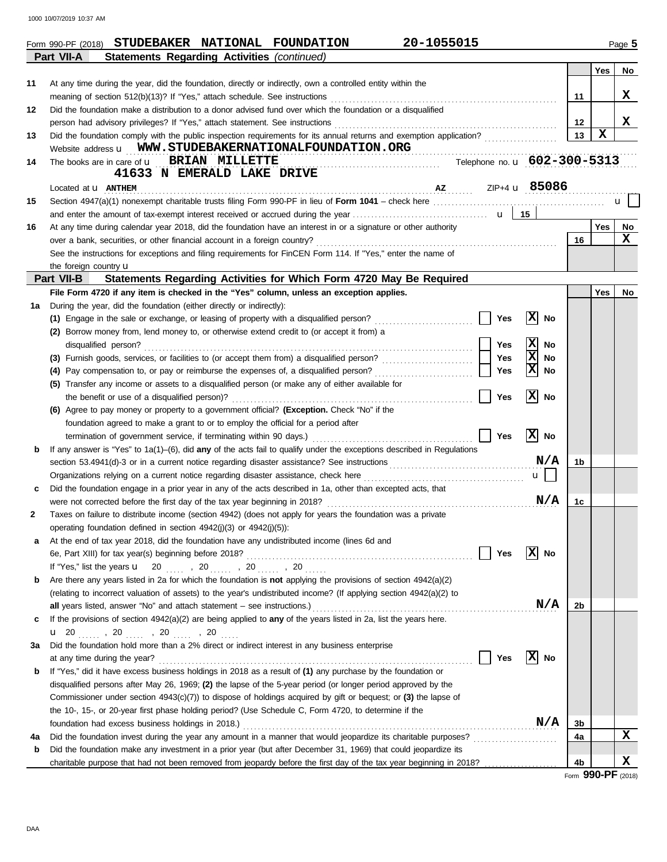1000 10/07/2019 10:37 AM

|    | 20-1055015<br>Form 990-PF (2018) STUDEBAKER NATIONAL FOUNDATION                                                                                                                                                                                                                                                                                                                                                    |         |             | Page 5 |
|----|--------------------------------------------------------------------------------------------------------------------------------------------------------------------------------------------------------------------------------------------------------------------------------------------------------------------------------------------------------------------------------------------------------------------|---------|-------------|--------|
|    | Part VII-A<br><b>Statements Regarding Activities (continued)</b>                                                                                                                                                                                                                                                                                                                                                   |         |             |        |
|    |                                                                                                                                                                                                                                                                                                                                                                                                                    |         | <b>Yes</b>  | No     |
| 11 | At any time during the year, did the foundation, directly or indirectly, own a controlled entity within the                                                                                                                                                                                                                                                                                                        |         |             |        |
|    | meaning of section 512(b)(13)? If "Yes," attach schedule. See instructions                                                                                                                                                                                                                                                                                                                                         | 11      |             | X      |
| 12 | Did the foundation make a distribution to a donor advised fund over which the foundation or a disqualified                                                                                                                                                                                                                                                                                                         |         |             |        |
|    | person had advisory privileges? If "Yes," attach statement. See instructions                                                                                                                                                                                                                                                                                                                                       | $12 \,$ |             | X      |
| 13 |                                                                                                                                                                                                                                                                                                                                                                                                                    | 13      | $\mathbf x$ |        |
|    | Website address <b>u</b> WWW.STUDEBAKERNATIONALFOUNDATION.ORG                                                                                                                                                                                                                                                                                                                                                      |         |             |        |
| 14 | Telephone no. u 602-300-5313<br>The books are in care of <b>u</b> BRIAN MILLETTE                                                                                                                                                                                                                                                                                                                                   |         |             |        |
|    | 41633 N EMERALD LAKE DRIVE                                                                                                                                                                                                                                                                                                                                                                                         |         |             |        |
|    | $\overline{1}$ $\overline{1}$ $\overline{2}$ $\overline{1}$ $\overline{1}$ $\overline{1}$ $\overline{2}$ $\overline{1}$ $\overline{2}$ $\overline{1}$ $\overline{1}$ $\overline{1}$ $\overline{1}$ $\overline{2}$ $\overline{1}$ $\overline{2}$ $\overline{1}$ $\overline{1}$ $\overline{1}$ $\overline{1}$ $\overline{2}$ $\overline{1}$ $\overline{2}$ $\overline{1}$ $\overline{$<br>Located at <b>u ANTHEM</b> |         |             |        |
| 15 |                                                                                                                                                                                                                                                                                                                                                                                                                    |         |             | u      |
|    |                                                                                                                                                                                                                                                                                                                                                                                                                    |         |             |        |
| 16 | At any time during calendar year 2018, did the foundation have an interest in or a signature or other authority                                                                                                                                                                                                                                                                                                    |         | <b>Yes</b>  | No     |
|    | over a bank, securities, or other financial account in a foreign country?                                                                                                                                                                                                                                                                                                                                          | 16      |             | x      |
|    | See the instructions for exceptions and filing requirements for FinCEN Form 114. If "Yes," enter the name of                                                                                                                                                                                                                                                                                                       |         |             |        |
|    | the foreign country $\mathbf u$                                                                                                                                                                                                                                                                                                                                                                                    |         |             |        |
|    | Part VII-B<br>Statements Regarding Activities for Which Form 4720 May Be Required                                                                                                                                                                                                                                                                                                                                  |         |             |        |
|    | File Form 4720 if any item is checked in the "Yes" column, unless an exception applies.                                                                                                                                                                                                                                                                                                                            |         | Yes         | No     |
| 1a | During the year, did the foundation (either directly or indirectly):                                                                                                                                                                                                                                                                                                                                               |         |             |        |
|    | x <br><b>Yes</b><br>(1) Engage in the sale or exchange, or leasing of property with a disqualified person?<br>No                                                                                                                                                                                                                                                                                                   |         |             |        |
|    | (2) Borrow money from, lend money to, or otherwise extend credit to (or accept it from) a                                                                                                                                                                                                                                                                                                                          |         |             |        |
|    | x<br>Yes<br>No<br>disqualified person?                                                                                                                                                                                                                                                                                                                                                                             |         |             |        |
|    | X<br>Yes<br>No                                                                                                                                                                                                                                                                                                                                                                                                     |         |             |        |
|    | Ιx<br>Yes<br>(4) Pay compensation to, or pay or reimburse the expenses of, a disqualified person?<br>No                                                                                                                                                                                                                                                                                                            |         |             |        |
|    | (5) Transfer any income or assets to a disqualified person (or make any of either available for                                                                                                                                                                                                                                                                                                                    |         |             |        |
|    | x <br>Yes<br>No<br>the benefit or use of a disqualified person)?                                                                                                                                                                                                                                                                                                                                                   |         |             |        |
|    | (6) Agree to pay money or property to a government official? (Exception. Check "No" if the                                                                                                                                                                                                                                                                                                                         |         |             |        |
|    | foundation agreed to make a grant to or to employ the official for a period after                                                                                                                                                                                                                                                                                                                                  |         |             |        |
|    | x <br><b>Yes</b><br>No<br>termination of government service, if terminating within 90 days.)                                                                                                                                                                                                                                                                                                                       |         |             |        |
| b  | If any answer is "Yes" to $1a(1)$ –(6), did any of the acts fail to qualify under the exceptions described in Regulations                                                                                                                                                                                                                                                                                          |         |             |        |
|    | N/A                                                                                                                                                                                                                                                                                                                                                                                                                | 1b      |             |        |
|    | $\mathbf{u}$                                                                                                                                                                                                                                                                                                                                                                                                       |         |             |        |
|    | Did the foundation engage in a prior year in any of the acts described in 1a, other than excepted acts, that                                                                                                                                                                                                                                                                                                       |         |             |        |
|    | N/A                                                                                                                                                                                                                                                                                                                                                                                                                | 1c      |             |        |
| 2  | Taxes on failure to distribute income (section 4942) (does not apply for years the foundation was a private                                                                                                                                                                                                                                                                                                        |         |             |        |
|    | operating foundation defined in section 4942(j)(3) or 4942(j)(5)):                                                                                                                                                                                                                                                                                                                                                 |         |             |        |
| а  | At the end of tax year 2018, did the foundation have any undistributed income (lines 6d and                                                                                                                                                                                                                                                                                                                        |         |             |        |
|    | X <br><b>Yes</b><br>6e, Part XIII) for tax year(s) beginning before 2018?<br>No                                                                                                                                                                                                                                                                                                                                    |         |             |        |
|    | If "Yes," list the years $\mathbf{u}$ 20 , 20 , 20 , 20                                                                                                                                                                                                                                                                                                                                                            |         |             |        |
| b  | Are there any years listed in 2a for which the foundation is not applying the provisions of section 4942(a)(2)                                                                                                                                                                                                                                                                                                     |         |             |        |
|    | (relating to incorrect valuation of assets) to the year's undistributed income? (If applying section 4942(a)(2) to                                                                                                                                                                                                                                                                                                 |         |             |        |
|    | N/A<br>all years listed, answer "No" and attach statement – see instructions.)                                                                                                                                                                                                                                                                                                                                     | 2b      |             |        |
| c  | If the provisions of section 4942(a)(2) are being applied to any of the years listed in 2a, list the years here.                                                                                                                                                                                                                                                                                                   |         |             |        |
|    |                                                                                                                                                                                                                                                                                                                                                                                                                    |         |             |        |
| За | Did the foundation hold more than a 2% direct or indirect interest in any business enterprise                                                                                                                                                                                                                                                                                                                      |         |             |        |
|    | $ X $ No<br><b>Yes</b><br>at any time during the year?                                                                                                                                                                                                                                                                                                                                                             |         |             |        |
| b  | If "Yes," did it have excess business holdings in 2018 as a result of (1) any purchase by the foundation or                                                                                                                                                                                                                                                                                                        |         |             |        |
|    | disqualified persons after May 26, 1969; (2) the lapse of the 5-year period (or longer period approved by the                                                                                                                                                                                                                                                                                                      |         |             |        |
|    | Commissioner under section 4943(c)(7)) to dispose of holdings acquired by gift or bequest; or (3) the lapse of                                                                                                                                                                                                                                                                                                     |         |             |        |
|    | the 10-, 15-, or 20-year first phase holding period? (Use Schedule C, Form 4720, to determine if the                                                                                                                                                                                                                                                                                                               |         |             |        |
|    | N/A<br>foundation had excess business holdings in 2018.)                                                                                                                                                                                                                                                                                                                                                           | 3b      |             |        |
| 4a | Did the foundation invest during the year any amount in a manner that would jeopardize its charitable purposes?                                                                                                                                                                                                                                                                                                    | 4a      |             | X      |
| b  | Did the foundation make any investment in a prior year (but after December 31, 1969) that could jeopardize its                                                                                                                                                                                                                                                                                                     |         |             |        |
|    | charitable purpose that had not been removed from jeopardy before the first day of the tax year beginning in 2018?                                                                                                                                                                                                                                                                                                 | 4b      |             | x      |
|    |                                                                                                                                                                                                                                                                                                                                                                                                                    |         |             |        |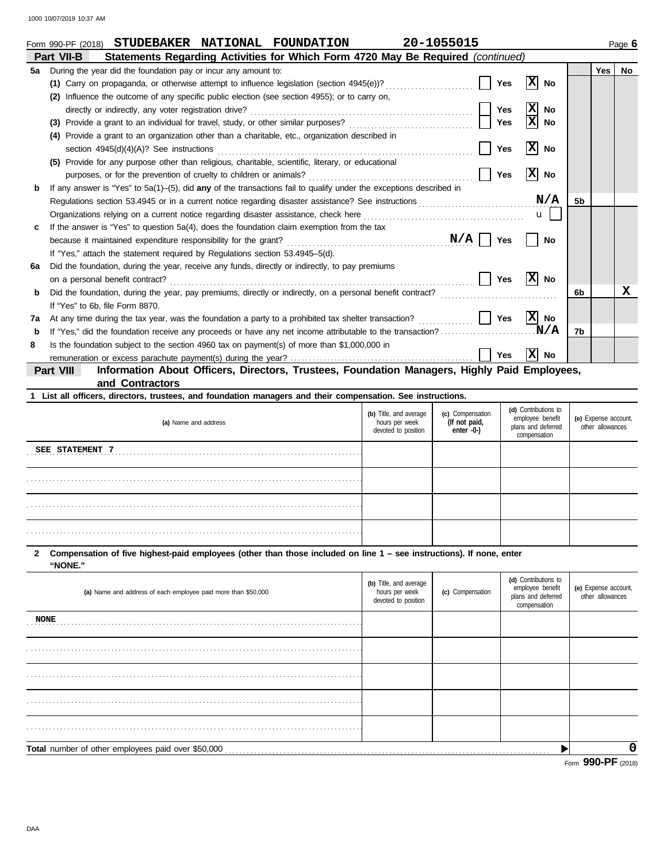|    | 20-1055015<br>STUDEBAKER NATIONAL FOUNDATION<br>Form 990-PF (2018)                                                    |            |                               |                |            | Page 6    |
|----|-----------------------------------------------------------------------------------------------------------------------|------------|-------------------------------|----------------|------------|-----------|
|    | Statements Regarding Activities for Which Form 4720 May Be Required (continued)<br>Part VII-B                         |            |                               |                |            |           |
| 5а | During the year did the foundation pay or incur any amount to:                                                        |            |                               |                | <b>Yes</b> | <b>No</b> |
|    | (1) Carry on propaganda, or otherwise attempt to influence legislation (section 4945(e))?                             | <b>Yes</b> | x <br>No                      |                |            |           |
|    | Influence the outcome of any specific public election (see section 4955); or to carry on,<br>(2)                      |            |                               |                |            |           |
|    | directly or indirectly, any voter registration drive?                                                                 | Yes        | $ \mathbf{x} $<br><b>No</b>   |                |            |           |
|    | (3) Provide a grant to an individual for travel, study, or other similar purposes?                                    | <b>Yes</b> | $\overline{\mathbf{x}}$<br>No |                |            |           |
|    | Provide a grant to an organization other than a charitable, etc., organization described in<br>(4)                    |            |                               |                |            |           |
|    | section $4945(d)(4)(A)?$ See instructions                                                                             | <b>Yes</b> | Ιx<br>No                      |                |            |           |
|    | (5) Provide for any purpose other than religious, charitable, scientific, literary, or educational                    |            |                               |                |            |           |
|    | purposes, or for the prevention of cruelty to children or animals?                                                    | Yes        | x <br>No                      |                |            |           |
| b  | If any answer is "Yes" to $5a(1)$ -(5), did any of the transactions fail to qualify under the exceptions described in |            |                               |                |            |           |
|    | Regulations section 53.4945 or in a current notice regarding disaster assistance? See instructions                    |            | N/A                           | 5 <sub>b</sub> |            |           |
|    | Organizations relying on a current notice regarding disaster assistance, check here                                   |            | $\mathbf{u}$                  |                |            |           |
|    | If the answer is "Yes" to question $5a(4)$ , does the foundation claim exemption from the tax                         |            |                               |                |            |           |
|    | because it maintained expenditure responsibility for the grant? $N/A$                                                 | <b>Yes</b> | No                            |                |            |           |
|    | If "Yes," attach the statement required by Regulations section 53.4945-5(d).                                          |            |                               |                |            |           |
| 6a | Did the foundation, during the year, receive any funds, directly or indirectly, to pay premiums                       |            |                               |                |            |           |
|    | on a personal benefit contract?                                                                                       | Yes        | x <br><b>No</b>               |                |            |           |
| b  |                                                                                                                       |            |                               | 6b             |            | x         |
|    | If "Yes" to 6b, file Form 8870.                                                                                       |            |                               |                |            |           |
| 7a | At any time during the tax year, was the foundation a party to a prohibited tax shelter transaction?                  | Yes        | X No                          |                |            |           |
| b  | If "Yes," did the foundation receive any proceeds or have any net income attributable to the transaction?             |            | .N/A                          | 7b             |            |           |
| 8  | Is the foundation subject to the section 4960 tax on payment(s) of more than \$1,000,000 in                           |            |                               |                |            |           |
|    |                                                                                                                       | Yes        | $ X $ No                      |                |            |           |
|    | Information About Officers, Directors, Trustees, Foundation Managers, Highly Paid Employees,<br>Part VIII             |            |                               |                |            |           |
|    | and Contractors                                                                                                       |            |                               |                |            |           |
|    | 1 List all officers, directors, trustees, and foundation managers and their compensation. See instructions.           |            |                               |                |            |           |

| (a) Name and address | (b) Title, and average<br>hours per week<br>devoted to position | (c) Compensation<br>(If not paid,<br>enter -0-) | (d) Contributions to<br>employee benefit<br>plans and deferred<br>compensation | (e) Expense account,<br>other allowances |
|----------------------|-----------------------------------------------------------------|-------------------------------------------------|--------------------------------------------------------------------------------|------------------------------------------|
| SEE STATEMENT 7      |                                                                 |                                                 |                                                                                |                                          |
|                      |                                                                 |                                                 |                                                                                |                                          |
|                      |                                                                 |                                                 |                                                                                |                                          |
|                      |                                                                 |                                                 |                                                                                |                                          |

### **"NONE." 2 Compensation of five highest-paid employees (other than those included on line 1 – see instructions). If none, enter**

|                                                               |                                                                 |                  |                                                                                | Form 990-PF (2018)                       |
|---------------------------------------------------------------|-----------------------------------------------------------------|------------------|--------------------------------------------------------------------------------|------------------------------------------|
| Total number of other employees paid over \$50,000            |                                                                 |                  |                                                                                |                                          |
|                                                               |                                                                 |                  |                                                                                |                                          |
|                                                               |                                                                 |                  |                                                                                |                                          |
|                                                               |                                                                 |                  |                                                                                |                                          |
|                                                               |                                                                 |                  |                                                                                |                                          |
| <b>NONE</b>                                                   |                                                                 |                  |                                                                                |                                          |
| (a) Name and address of each employee paid more than \$50,000 | (b) Title, and average<br>hours per week<br>devoted to position | (c) Compensation | (d) Contributions to<br>employee benefit<br>plans and deferred<br>compensation | (e) Expense account,<br>other allowances |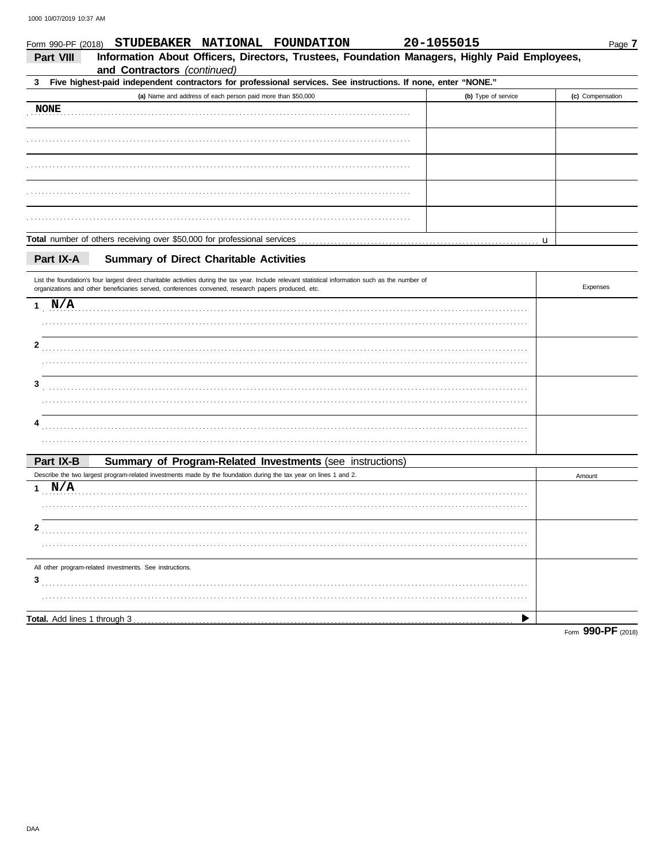| Form 990-PF (2018) | STUDEBAKER NATIONAL FOUNDATION                                                                                                                                                                                                                            | 20-1055015 |                     |   | Page 7           |
|--------------------|-----------------------------------------------------------------------------------------------------------------------------------------------------------------------------------------------------------------------------------------------------------|------------|---------------------|---|------------------|
| Part VIII          | Information About Officers, Directors, Trustees, Foundation Managers, Highly Paid Employees,<br>and Contractors (continued)                                                                                                                               |            |                     |   |                  |
| 3                  | Five highest-paid independent contractors for professional services. See instructions. If none, enter "NONE."                                                                                                                                             |            |                     |   |                  |
|                    | (a) Name and address of each person paid more than \$50,000                                                                                                                                                                                               |            | (b) Type of service |   | (c) Compensation |
| <b>NONE</b>        |                                                                                                                                                                                                                                                           |            |                     |   |                  |
|                    |                                                                                                                                                                                                                                                           |            |                     |   |                  |
|                    |                                                                                                                                                                                                                                                           |            |                     |   |                  |
|                    |                                                                                                                                                                                                                                                           |            |                     |   |                  |
|                    |                                                                                                                                                                                                                                                           |            |                     |   |                  |
|                    |                                                                                                                                                                                                                                                           |            |                     | u |                  |
| Part IX-A          | <b>Summary of Direct Charitable Activities</b>                                                                                                                                                                                                            |            |                     |   |                  |
|                    | List the foundation's four largest direct charitable activities during the tax year. Include relevant statistical information such as the number of<br>organizations and other beneficiaries served, conferences convened, research papers produced, etc. |            |                     |   | Expenses         |
| $1$ N/A            |                                                                                                                                                                                                                                                           |            |                     |   |                  |
|                    |                                                                                                                                                                                                                                                           |            |                     |   |                  |
| 2                  |                                                                                                                                                                                                                                                           |            |                     |   |                  |
|                    |                                                                                                                                                                                                                                                           |            |                     |   |                  |
| 3                  |                                                                                                                                                                                                                                                           |            |                     |   |                  |
|                    |                                                                                                                                                                                                                                                           |            |                     |   |                  |
|                    |                                                                                                                                                                                                                                                           |            |                     |   |                  |
|                    |                                                                                                                                                                                                                                                           |            |                     |   |                  |
| Part IX-B          | Summary of Program-Related Investments (see instructions)                                                                                                                                                                                                 |            |                     |   |                  |
|                    | Describe the two largest program-related investments made by the foundation during the tax year on lines 1 and 2.                                                                                                                                         |            |                     |   | Amount           |
| 1 N/A              |                                                                                                                                                                                                                                                           |            |                     |   |                  |
|                    |                                                                                                                                                                                                                                                           |            |                     |   |                  |
| 2                  |                                                                                                                                                                                                                                                           |            |                     |   |                  |
|                    |                                                                                                                                                                                                                                                           |            |                     |   |                  |
|                    | All other program-related investments. See instructions.                                                                                                                                                                                                  |            |                     |   |                  |
| 3                  |                                                                                                                                                                                                                                                           |            |                     |   |                  |
|                    |                                                                                                                                                                                                                                                           |            |                     |   |                  |
|                    |                                                                                                                                                                                                                                                           |            |                     |   |                  |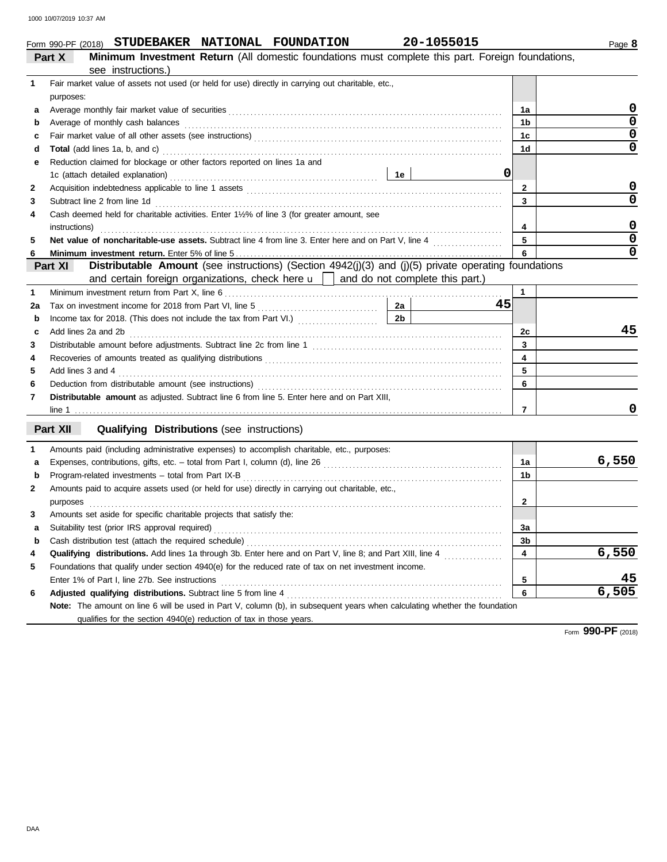|                      |  | Form 990-PF (2018) STUDEBAKER NATIONAL FOUNDATION | 20-1055015                                                                             |
|----------------------|--|---------------------------------------------------|----------------------------------------------------------------------------------------|
| $\sim$ $\sim$ $\sim$ |  |                                                   | . Minimum larreaturent Matrini (All Jenesal) formulations morat consistent this mant l |

|              | <b>Minimum Investment Return</b> (All domestic foundations must complete this part. Foreign foundations,<br>Part X                                                                                                                                 |                         |                         |
|--------------|----------------------------------------------------------------------------------------------------------------------------------------------------------------------------------------------------------------------------------------------------|-------------------------|-------------------------|
|              | see instructions.)                                                                                                                                                                                                                                 |                         |                         |
| 1            | Fair market value of assets not used (or held for use) directly in carrying out charitable, etc.,                                                                                                                                                  |                         |                         |
|              | purposes:                                                                                                                                                                                                                                          |                         |                         |
| а            |                                                                                                                                                                                                                                                    | 1a                      | 0                       |
| b            | Average of monthly cash balances electron contract the contract of monthly cash balances                                                                                                                                                           | 1 <sub>b</sub>          | $\overline{0}$          |
| c            |                                                                                                                                                                                                                                                    | 1 <sub>c</sub>          | $\pmb{0}$               |
| d            |                                                                                                                                                                                                                                                    | 1 <sub>d</sub>          | $\overline{0}$          |
| е            | Reduction claimed for blockage or other factors reported on lines 1a and                                                                                                                                                                           |                         |                         |
|              | 0                                                                                                                                                                                                                                                  |                         |                         |
| 2            |                                                                                                                                                                                                                                                    | $\mathbf{2}$            | 0                       |
| 3            | Subtract line 2 from line 1d <b>Martin Community</b> 10 and 20 for the 1d <b>Canadian Community 10</b> and 20 for the 1d <b>Canadian Community 10</b> and 20 for the 2 from line 1d <b>Canadian Community 10</b> and 20 for the 2 for the 2 for th | 3                       | $\Omega$                |
| 4            | Cash deemed held for charitable activities. Enter 1½% of line 3 (for greater amount, see                                                                                                                                                           |                         |                         |
|              |                                                                                                                                                                                                                                                    | 4                       | $\mathbf 0$             |
| 5            |                                                                                                                                                                                                                                                    | 5                       | $\overline{\mathbf{0}}$ |
|              |                                                                                                                                                                                                                                                    | 6                       | 0                       |
|              | Distributable Amount (see instructions) (Section 4942(j)(3) and (j)(5) private operating foundations<br>Part XI                                                                                                                                    |                         |                         |
|              | and certain foreign organizations, check here $\mathbf{u}$   and do not complete this part.)                                                                                                                                                       |                         |                         |
| $\mathbf{1}$ |                                                                                                                                                                                                                                                    | 1                       |                         |
| 2a           | 2a<br>45                                                                                                                                                                                                                                           |                         |                         |
| b            | 2 <sub>b</sub>                                                                                                                                                                                                                                     |                         |                         |
| c            | Add lines 2a and 2b                                                                                                                                                                                                                                | 2c                      | 45                      |
| 3            |                                                                                                                                                                                                                                                    | 3                       |                         |
| 4            |                                                                                                                                                                                                                                                    | $\overline{\mathbf{4}}$ |                         |
| 5            |                                                                                                                                                                                                                                                    | 5                       |                         |
| 6            |                                                                                                                                                                                                                                                    | 6                       |                         |
| 7            | Distributable amount as adjusted. Subtract line 6 from line 5. Enter here and on Part XIII,                                                                                                                                                        |                         |                         |
|              |                                                                                                                                                                                                                                                    | $\overline{7}$          | 0                       |
|              |                                                                                                                                                                                                                                                    |                         |                         |
|              | Part XII<br><b>Qualifying Distributions (see instructions)</b>                                                                                                                                                                                     |                         |                         |
| 1            | Amounts paid (including administrative expenses) to accomplish charitable, etc., purposes:                                                                                                                                                         |                         |                         |
| a            |                                                                                                                                                                                                                                                    | 1a                      | 6,550                   |
| b            |                                                                                                                                                                                                                                                    | 1 <sub>b</sub>          |                         |
| 2            | Amounts paid to acquire assets used (or held for use) directly in carrying out charitable, etc.,                                                                                                                                                   |                         |                         |
|              | purposes                                                                                                                                                                                                                                           | $\bf{2}$                |                         |
| 3            | Amounts set aside for specific charitable projects that satisfy the:                                                                                                                                                                               |                         |                         |
| a            | Suitability test (prior IRS approval required)                                                                                                                                                                                                     | 3a                      |                         |
| b            |                                                                                                                                                                                                                                                    | 3 <sub>b</sub>          |                         |
| 4            | Qualifying distributions. Add lines 1a through 3b. Enter here and on Part V, line 8; and Part XIII, line 4                                                                                                                                         | 4                       | 6,550                   |
| 5            | Foundations that qualify under section 4940(e) for the reduced rate of tax on net investment income.                                                                                                                                               |                         |                         |
|              | Enter 1% of Part I, line 27b. See instructions                                                                                                                                                                                                     | 5                       |                         |
| 6            |                                                                                                                                                                                                                                                    | 6                       | 6,505                   |
|              | Note: The amount on line 6 will be used in Part V, column (b), in subsequent years when calculating whether the foundation                                                                                                                         |                         |                         |
|              | qualifies for the section 4940(e) reduction of tax in those years.                                                                                                                                                                                 |                         |                         |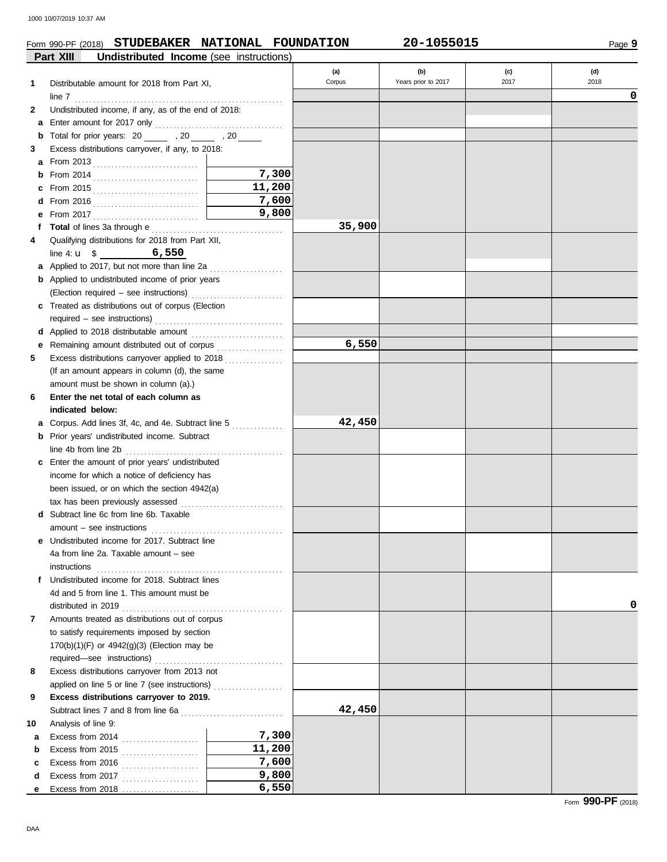## Form 990-PF (2018) **STUDEBAKER NATIONAL FOUNDATION 20-1055015**

|    | Part XIII<br>Undistributed Income (see instructions)                                                                                                                       |        |        |                     |      |      |
|----|----------------------------------------------------------------------------------------------------------------------------------------------------------------------------|--------|--------|---------------------|------|------|
|    |                                                                                                                                                                            |        | (a)    | (b)                 | (c)  | (d)  |
| 1  | Distributable amount for 2018 from Part XI,                                                                                                                                |        | Corpus | Years prior to 2017 | 2017 | 2018 |
|    |                                                                                                                                                                            |        |        |                     |      | 0    |
| 2  | line 7 $\ldots$ . $\ldots$ . $\ldots$ . $\ldots$ . $\ldots$ . $\ldots$ . $\ldots$ . $\ldots$ . $\ldots$ . $\ldots$<br>Undistributed income, if any, as of the end of 2018: |        |        |                     |      |      |
| a  |                                                                                                                                                                            |        |        |                     |      |      |
| b  | Total for prior years: 20 _______ , 20 ______ , 20 _____                                                                                                                   |        |        |                     |      |      |
| 3  | Excess distributions carryover, if any, to 2018:                                                                                                                           |        |        |                     |      |      |
|    |                                                                                                                                                                            |        |        |                     |      |      |
| a  |                                                                                                                                                                            | 7,300  |        |                     |      |      |
| b  |                                                                                                                                                                            | 11,200 |        |                     |      |      |
|    |                                                                                                                                                                            |        |        |                     |      |      |
|    |                                                                                                                                                                            | 7,600  |        |                     |      |      |
| е  |                                                                                                                                                                            | 9,800  |        |                     |      |      |
|    |                                                                                                                                                                            |        | 35,900 |                     |      |      |
| 4  | Qualifying distributions for 2018 from Part XII,                                                                                                                           |        |        |                     |      |      |
|    | line 4: $u$ \$ 6,550                                                                                                                                                       |        |        |                     |      |      |
|    | a Applied to 2017, but not more than line 2a                                                                                                                               |        |        |                     |      |      |
|    | <b>b</b> Applied to undistributed income of prior years                                                                                                                    |        |        |                     |      |      |
|    |                                                                                                                                                                            |        |        |                     |      |      |
|    | c Treated as distributions out of corpus (Election                                                                                                                         |        |        |                     |      |      |
|    |                                                                                                                                                                            |        |        |                     |      |      |
|    |                                                                                                                                                                            |        |        |                     |      |      |
| е  | Remaining amount distributed out of corpus                                                                                                                                 |        | 6,550  |                     |      |      |
| 5  | Excess distributions carryover applied to 2018                                                                                                                             |        |        |                     |      |      |
|    | (If an amount appears in column (d), the same                                                                                                                              |        |        |                     |      |      |
|    | amount must be shown in column (a).)                                                                                                                                       |        |        |                     |      |      |
| 6  | Enter the net total of each column as                                                                                                                                      |        |        |                     |      |      |
|    | indicated below:                                                                                                                                                           |        |        |                     |      |      |
| а  |                                                                                                                                                                            |        | 42,450 |                     |      |      |
| b  | Prior years' undistributed income. Subtract                                                                                                                                |        |        |                     |      |      |
|    |                                                                                                                                                                            |        |        |                     |      |      |
|    | c Enter the amount of prior years' undistributed                                                                                                                           |        |        |                     |      |      |
|    | income for which a notice of deficiency has                                                                                                                                |        |        |                     |      |      |
|    | been issued, or on which the section 4942(a)                                                                                                                               |        |        |                     |      |      |
|    | tax has been previously assessed                                                                                                                                           |        |        |                     |      |      |
| d  | Subtract line 6c from line 6b. Taxable                                                                                                                                     |        |        |                     |      |      |
|    | $amount - see instructions$                                                                                                                                                |        |        |                     |      |      |
|    | e Undistributed income for 2017. Subtract line                                                                                                                             |        |        |                     |      |      |
|    | 4a from line 2a. Taxable amount – see                                                                                                                                      |        |        |                     |      |      |
|    | instructions                                                                                                                                                               |        |        |                     |      |      |
|    | f Undistributed income for 2018. Subtract lines                                                                                                                            |        |        |                     |      |      |
|    | 4d and 5 from line 1. This amount must be                                                                                                                                  |        |        |                     |      |      |
|    |                                                                                                                                                                            |        |        |                     |      | 0    |
| 7  | Amounts treated as distributions out of corpus                                                                                                                             |        |        |                     |      |      |
|    | to satisfy requirements imposed by section                                                                                                                                 |        |        |                     |      |      |
|    | $170(b)(1)(F)$ or $4942(g)(3)$ (Election may be                                                                                                                            |        |        |                     |      |      |
|    |                                                                                                                                                                            |        |        |                     |      |      |
| 8  | Excess distributions carryover from 2013 not                                                                                                                               |        |        |                     |      |      |
|    | applied on line 5 or line 7 (see instructions)                                                                                                                             |        |        |                     |      |      |
| 9  | Excess distributions carryover to 2019.                                                                                                                                    |        |        |                     |      |      |
|    |                                                                                                                                                                            |        | 42,450 |                     |      |      |
| 10 | Analysis of line 9:                                                                                                                                                        |        |        |                     |      |      |
| a  | Excess from 2014 $\ldots$                                                                                                                                                  | 7,300  |        |                     |      |      |
| b  | Excess from 2015 $\ldots$                                                                                                                                                  | 11,200 |        |                     |      |      |
| c  | Excess from 2016 $\ldots$                                                                                                                                                  | 7,600  |        |                     |      |      |
| d  |                                                                                                                                                                            | 9,800  |        |                     |      |      |
| е  | Excess from 2018                                                                                                                                                           | 6,550  |        |                     |      |      |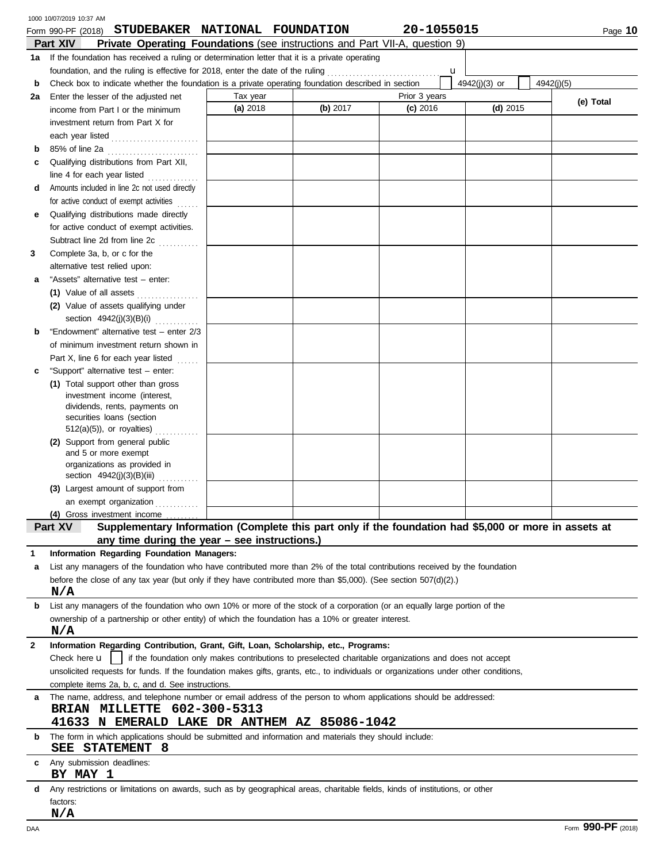|              | 1000 10/07/2019 10:37 AM                                                                                                             |                      |          |                                                                                                        |               |            |
|--------------|--------------------------------------------------------------------------------------------------------------------------------------|----------------------|----------|--------------------------------------------------------------------------------------------------------|---------------|------------|
|              | STUDEBAKER NATIONAL FOUNDATION<br>Form 990-PF (2018)                                                                                 |                      |          | 20-1055015                                                                                             |               | Page 10    |
|              | Part XIV<br><b>Private Operating Foundations</b> (see instructions and Part VII-A, question 9)                                       |                      |          |                                                                                                        |               |            |
|              | 1a If the foundation has received a ruling or determination letter that it is a private operating                                    |                      |          |                                                                                                        |               |            |
|              | foundation, and the ruling is effective for 2018, enter the date of the ruling                                                       |                      |          | u                                                                                                      |               |            |
| b            | Check box to indicate whether the foundation is a private operating foundation described in section                                  |                      |          |                                                                                                        | 4942(j)(3) or | 4942(i)(5) |
| 2a           | Enter the lesser of the adjusted net                                                                                                 | Tax year<br>(a) 2018 | (b) 2017 | Prior 3 years<br>$(c)$ 2016                                                                            | $(d)$ 2015    | (e) Total  |
|              | income from Part I or the minimum                                                                                                    |                      |          |                                                                                                        |               |            |
|              | investment return from Part X for                                                                                                    |                      |          |                                                                                                        |               |            |
|              | each year listed                                                                                                                     |                      |          |                                                                                                        |               |            |
| b            | 85% of line 2a                                                                                                                       |                      |          |                                                                                                        |               |            |
| с            | Qualifying distributions from Part XII,                                                                                              |                      |          |                                                                                                        |               |            |
|              | line 4 for each year listed                                                                                                          |                      |          |                                                                                                        |               |            |
| d            | Amounts included in line 2c not used directly                                                                                        |                      |          |                                                                                                        |               |            |
|              | for active conduct of exempt activities<br>Qualifying distributions made directly                                                    |                      |          |                                                                                                        |               |            |
| е            | for active conduct of exempt activities.                                                                                             |                      |          |                                                                                                        |               |            |
|              | Subtract line 2d from line 2c                                                                                                        |                      |          |                                                                                                        |               |            |
| 3            | in de la provincia della con-<br>Complete 3a, b, or c for the                                                                        |                      |          |                                                                                                        |               |            |
|              | alternative test relied upon:                                                                                                        |                      |          |                                                                                                        |               |            |
| а            | "Assets" alternative test - enter:                                                                                                   |                      |          |                                                                                                        |               |            |
|              | (1) Value of all assets                                                                                                              |                      |          |                                                                                                        |               |            |
|              | (2) Value of assets qualifying under                                                                                                 |                      |          |                                                                                                        |               |            |
|              | section 4942(j)(3)(B)(i)                                                                                                             |                      |          |                                                                                                        |               |            |
| b            | "Endowment" alternative test - enter 2/3                                                                                             |                      |          |                                                                                                        |               |            |
|              | of minimum investment return shown in                                                                                                |                      |          |                                                                                                        |               |            |
|              | Part X, line 6 for each year listed<br>.                                                                                             |                      |          |                                                                                                        |               |            |
| c            | "Support" alternative test - enter:                                                                                                  |                      |          |                                                                                                        |               |            |
|              | (1) Total support other than gross                                                                                                   |                      |          |                                                                                                        |               |            |
|              | investment income (interest,                                                                                                         |                      |          |                                                                                                        |               |            |
|              | dividends, rents, payments on                                                                                                        |                      |          |                                                                                                        |               |            |
|              | securities loans (section                                                                                                            |                      |          |                                                                                                        |               |            |
|              | $512(a)(5)$ , or royalties)<br>(2) Support from general public                                                                       |                      |          |                                                                                                        |               |            |
|              | and 5 or more exempt                                                                                                                 |                      |          |                                                                                                        |               |            |
|              | organizations as provided in                                                                                                         |                      |          |                                                                                                        |               |            |
|              | section 4942(j)(3)(B)(iii)                                                                                                           |                      |          |                                                                                                        |               |            |
|              | (3) Largest amount of support from                                                                                                   |                      |          |                                                                                                        |               |            |
|              | an exempt organization                                                                                                               |                      |          |                                                                                                        |               |            |
|              | (4) Gross investment income                                                                                                          |                      |          |                                                                                                        |               |            |
|              | Supplementary Information (Complete this part only if the foundation had \$5,000 or more in assets at<br>Part XV                     |                      |          |                                                                                                        |               |            |
|              | any time during the year - see instructions.)                                                                                        |                      |          |                                                                                                        |               |            |
|              | Information Regarding Foundation Managers:                                                                                           |                      |          |                                                                                                        |               |            |
| a            | List any managers of the foundation who have contributed more than 2% of the total contributions received by the foundation          |                      |          |                                                                                                        |               |            |
|              | before the close of any tax year (but only if they have contributed more than \$5,000). (See section $507(d)(2)$ .)                  |                      |          |                                                                                                        |               |            |
| b            | N/A<br>List any managers of the foundation who own 10% or more of the stock of a corporation (or an equally large portion of the     |                      |          |                                                                                                        |               |            |
|              | ownership of a partnership or other entity) of which the foundation has a 10% or greater interest.                                   |                      |          |                                                                                                        |               |            |
|              | N/A                                                                                                                                  |                      |          |                                                                                                        |               |            |
| $\mathbf{2}$ | Information Regarding Contribution, Grant, Gift, Loan, Scholarship, etc., Programs:                                                  |                      |          |                                                                                                        |               |            |
|              | Check here <b>u</b>                                                                                                                  |                      |          | if the foundation only makes contributions to preselected charitable organizations and does not accept |               |            |
|              | unsolicited requests for funds. If the foundation makes gifts, grants, etc., to individuals or organizations under other conditions, |                      |          |                                                                                                        |               |            |
|              | complete items 2a, b, c, and d. See instructions.                                                                                    |                      |          |                                                                                                        |               |            |
| a            | The name, address, and telephone number or email address of the person to whom applications should be addressed:                     |                      |          |                                                                                                        |               |            |
|              | BRIAN MILLETTE 602-300-5313                                                                                                          |                      |          |                                                                                                        |               |            |
|              | 41633 N EMERALD LAKE DR ANTHEM AZ 85086-1042                                                                                         |                      |          |                                                                                                        |               |            |
| b            | The form in which applications should be submitted and information and materials they should include:<br>STATEMENT 8<br>SEE          |                      |          |                                                                                                        |               |            |
| С            | Any submission deadlines:<br>BY MAY 1                                                                                                |                      |          |                                                                                                        |               |            |
| d            | Any restrictions or limitations on awards, such as by geographical areas, charitable fields, kinds of institutions, or other         |                      |          |                                                                                                        |               |            |
|              | factors:                                                                                                                             |                      |          |                                                                                                        |               |            |
|              | N/A                                                                                                                                  |                      |          |                                                                                                        |               |            |
|              |                                                                                                                                      |                      |          |                                                                                                        |               | 000 DE     |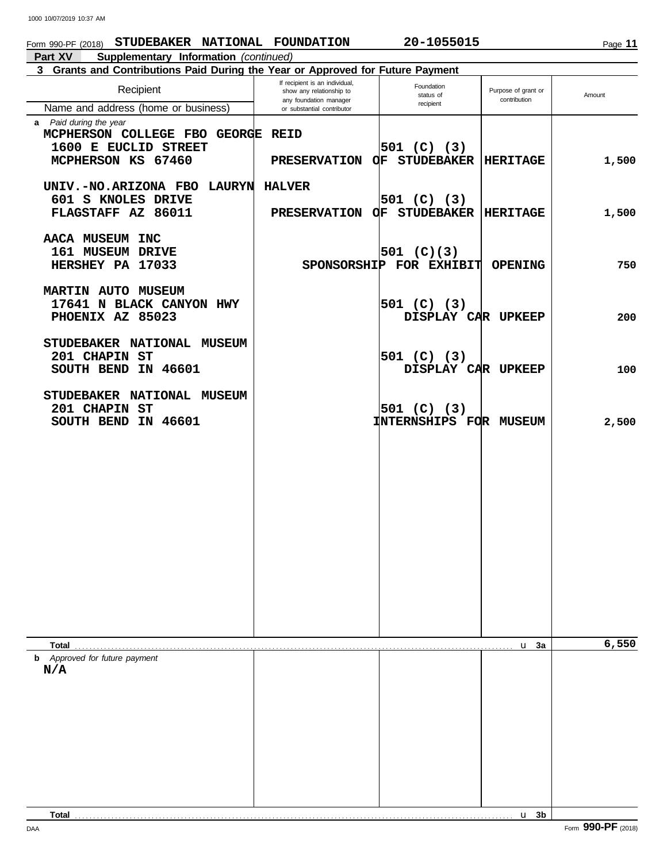# **Part XV Supplementary Information** *(continued)* **3 Grants and Contributions Paid During the Year or Approved for Future Payment** Form 990-PF (2018) **STUDEBAKER NATIONAL FOUNDATION** 20-1055015

| <b>Unanited and Obtimbanons I ald Dunny the Tear of Approved for Future Fayment</b> | If recipient is an individual,                     | Foundation                    |                                     |        |
|-------------------------------------------------------------------------------------|----------------------------------------------------|-------------------------------|-------------------------------------|--------|
| Recipient                                                                           | show any relationship to<br>any foundation manager | status of                     | Purpose of grant or<br>contribution | Amount |
| Name and address (home or business)                                                 | or substantial contributor                         | recipient                     |                                     |        |
| a Paid during the year                                                              |                                                    |                               |                                     |        |
| MCPHERSON COLLEGE FBO GEORGE REID<br>1600 E EUCLID STREET                           |                                                    | $501$ (C) (3)                 |                                     |        |
| MCPHERSON KS 67460                                                                  | PRESERVATION OF STUDEBAKER                         |                               | <b>HERITAGE</b>                     | 1,500  |
|                                                                                     |                                                    |                               |                                     |        |
| UNIV.-NO.ARIZONA FBO LAURYN                                                         | <b>HALVER</b>                                      |                               |                                     |        |
| 601 S KNOLES DRIVE                                                                  |                                                    | 501 $(C)$ (3)                 |                                     |        |
| FLAGSTAFF AZ 86011                                                                  | PRESERVATION OF STUDEBAKER                         |                               | <b>HERITAGE</b>                     | 1,500  |
| AACA MUSEUM INC                                                                     |                                                    |                               |                                     |        |
| 161 MUSEUM DRIVE                                                                    |                                                    | 501 $(C)(3)$                  |                                     |        |
| HERSHEY PA 17033                                                                    |                                                    | SPONSORSHIP FOR EXHIBIT       | <b>OPENING</b>                      | 750    |
|                                                                                     |                                                    |                               |                                     |        |
| <b>MARTIN AUTO MUSEUM</b>                                                           |                                                    |                               |                                     |        |
| 17641 N BLACK CANYON HWY                                                            |                                                    | 501 $(C)$ (3)                 |                                     |        |
| PHOENIX AZ 85023                                                                    |                                                    | DISPLAY CAR UPKEEP            |                                     | 200    |
| STUDEBAKER NATIONAL MUSEUM                                                          |                                                    |                               |                                     |        |
| 201 CHAPIN ST                                                                       |                                                    | 501 $(C)$ (3)                 |                                     |        |
| SOUTH BEND IN 46601                                                                 |                                                    | DISPLAY CAR UPKEEP            |                                     | 100    |
|                                                                                     |                                                    |                               |                                     |        |
| STUDEBAKER NATIONAL MUSEUM                                                          |                                                    |                               |                                     |        |
| 201 CHAPIN ST                                                                       |                                                    | 501 $(C)$ (3)                 |                                     |        |
| SOUTH BEND IN 46601                                                                 |                                                    | <b>INTERNSHIPS FOR MUSEUM</b> |                                     | 2,500  |
|                                                                                     |                                                    |                               |                                     |        |
|                                                                                     |                                                    |                               |                                     |        |
|                                                                                     |                                                    |                               |                                     |        |
|                                                                                     |                                                    |                               |                                     |        |
|                                                                                     |                                                    |                               |                                     |        |
|                                                                                     |                                                    |                               |                                     |        |
|                                                                                     |                                                    |                               |                                     |        |
|                                                                                     |                                                    |                               |                                     |        |
|                                                                                     |                                                    |                               |                                     |        |
|                                                                                     |                                                    |                               |                                     |        |
|                                                                                     |                                                    |                               |                                     |        |
|                                                                                     |                                                    |                               |                                     |        |
|                                                                                     |                                                    |                               |                                     |        |
| Total                                                                               |                                                    |                               | u <sub>3a</sub>                     | 6,550  |
| <b>b</b> Approved for future payment                                                |                                                    |                               |                                     |        |
| N/A                                                                                 |                                                    |                               |                                     |        |
|                                                                                     |                                                    |                               |                                     |        |
|                                                                                     |                                                    |                               |                                     |        |
|                                                                                     |                                                    |                               |                                     |        |
|                                                                                     |                                                    |                               |                                     |        |
|                                                                                     |                                                    |                               |                                     |        |
|                                                                                     |                                                    |                               |                                     |        |
|                                                                                     |                                                    |                               |                                     |        |
|                                                                                     |                                                    |                               |                                     |        |
|                                                                                     |                                                    |                               |                                     |        |
| Total $\ldots$                                                                      |                                                    |                               | $u$ 3b                              |        |

Page **11**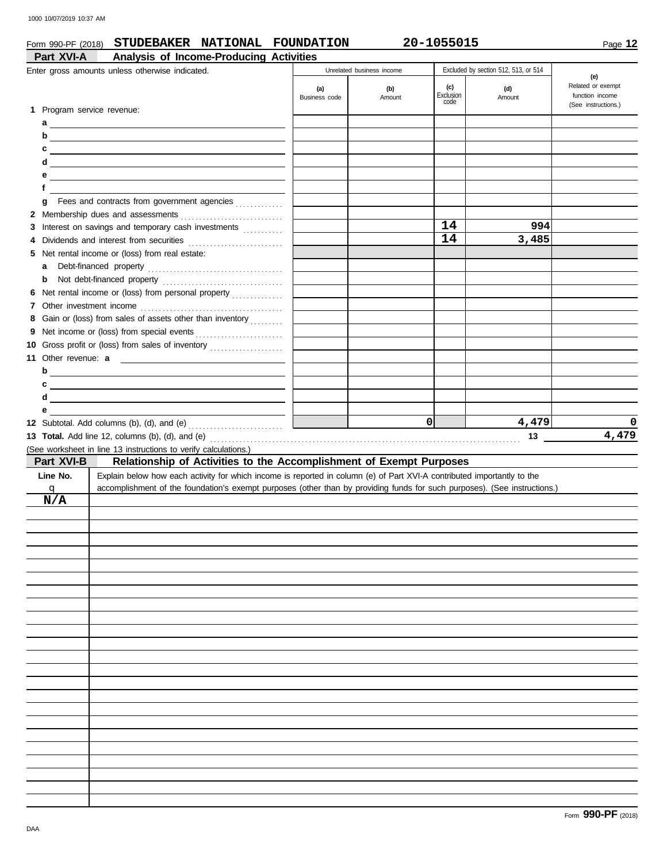## Form 990-PF (2018) **STUDEBAKER NATIONAL FOUNDATION 20-1055015**

|                            | Analysis of Income-Producing Activities<br>Enter gross amounts unless otherwise indicated.                                |                      | Unrelated business income |                  | Excluded by section 512, 513, or 514 |                                             |
|----------------------------|---------------------------------------------------------------------------------------------------------------------------|----------------------|---------------------------|------------------|--------------------------------------|---------------------------------------------|
|                            |                                                                                                                           | (a)<br>Business code | (b)<br>Amount             | (c)<br>Exclusion | (d)<br>Amount                        | (e)<br>Related or exempt<br>function income |
| 1 Program service revenue: |                                                                                                                           |                      |                           | code             |                                      | (See instructions.)                         |
|                            |                                                                                                                           |                      |                           |                  |                                      |                                             |
| b                          | <u> 1989 - Johann Stein, fransk politik (d. 1989)</u>                                                                     |                      |                           |                  |                                      |                                             |
| c                          |                                                                                                                           |                      |                           |                  |                                      |                                             |
| d                          | <u> 1989 - Johann Stein, mars an deus Amerikaansk kommunister (</u>                                                       |                      |                           |                  |                                      |                                             |
| е                          | <u> 1989 - Johann Harry Barn, mars ar breist fan de Amerikaansk kommunent fan de Amerikaanske kommunent fan de A</u>      |                      |                           |                  |                                      |                                             |
| f                          |                                                                                                                           |                      |                           |                  |                                      |                                             |
| g                          |                                                                                                                           |                      |                           |                  |                                      |                                             |
|                            |                                                                                                                           |                      |                           |                  |                                      |                                             |
|                            | 3 Interest on savings and temporary cash investments                                                                      |                      |                           | 14               | 994                                  |                                             |
| 4                          | Dividends and interest from securities [11] contains and interest from securities                                         |                      |                           | 14               | 3,485                                |                                             |
|                            | 5 Net rental income or (loss) from real estate:                                                                           |                      |                           |                  |                                      |                                             |
| a                          |                                                                                                                           |                      |                           |                  |                                      |                                             |
| b                          |                                                                                                                           |                      |                           |                  |                                      |                                             |
|                            | 6 Net rental income or (loss) from personal property                                                                      |                      |                           |                  |                                      |                                             |
|                            |                                                                                                                           |                      |                           |                  |                                      |                                             |
|                            | 8 Gain or (loss) from sales of assets other than inventory                                                                |                      |                           |                  |                                      |                                             |
|                            |                                                                                                                           |                      |                           |                  |                                      |                                             |
|                            | 10 Gross profit or (loss) from sales of inventory                                                                         |                      |                           |                  |                                      |                                             |
|                            |                                                                                                                           |                      |                           |                  |                                      |                                             |
|                            | $\mathsf{d}$                                                                                                              |                      |                           |                  |                                      |                                             |
| c                          | <u> 1989 - Johann Barn, amerikansk politiker (d. 1989)</u>                                                                |                      |                           |                  |                                      |                                             |
| d                          | <u> 1980 - Johann Stein, marwolaethau a bhann an t-Amhainn an t-Amhainn an t-Amhainn an t-Amhainn an t-Amhainn a</u>      |                      |                           |                  |                                      |                                             |
| е                          |                                                                                                                           |                      |                           |                  |                                      |                                             |
|                            |                                                                                                                           |                      |                           |                  |                                      |                                             |
|                            |                                                                                                                           |                      |                           | 0                | 4,479                                | 0                                           |
|                            |                                                                                                                           |                      |                           |                  | 13                                   | 4,479                                       |
|                            | (See worksheet in line 13 instructions to verify calculations.)                                                           |                      |                           |                  |                                      |                                             |
| Part XVI-B                 | Relationship of Activities to the Accomplishment of Exempt Purposes                                                       |                      |                           |                  |                                      |                                             |
| Line No.                   | Explain below how each activity for which income is reported in column (e) of Part XVI-A contributed importantly to the   |                      |                           |                  |                                      |                                             |
| $\mathbf{q}$<br>N/A        | accomplishment of the foundation's exempt purposes (other than by providing funds for such purposes). (See instructions.) |                      |                           |                  |                                      |                                             |
|                            |                                                                                                                           |                      |                           |                  |                                      |                                             |
|                            |                                                                                                                           |                      |                           |                  |                                      |                                             |
|                            |                                                                                                                           |                      |                           |                  |                                      |                                             |
|                            |                                                                                                                           |                      |                           |                  |                                      |                                             |
|                            |                                                                                                                           |                      |                           |                  |                                      |                                             |
|                            |                                                                                                                           |                      |                           |                  |                                      |                                             |
|                            |                                                                                                                           |                      |                           |                  |                                      |                                             |
|                            |                                                                                                                           |                      |                           |                  |                                      |                                             |
|                            |                                                                                                                           |                      |                           |                  |                                      |                                             |
|                            |                                                                                                                           |                      |                           |                  |                                      |                                             |
|                            |                                                                                                                           |                      |                           |                  |                                      |                                             |
|                            |                                                                                                                           |                      |                           |                  |                                      |                                             |
|                            |                                                                                                                           |                      |                           |                  |                                      |                                             |
|                            |                                                                                                                           |                      |                           |                  |                                      |                                             |
|                            |                                                                                                                           |                      |                           |                  |                                      |                                             |
|                            |                                                                                                                           |                      |                           |                  |                                      |                                             |
|                            |                                                                                                                           |                      |                           |                  |                                      |                                             |
|                            |                                                                                                                           |                      |                           |                  |                                      |                                             |
|                            |                                                                                                                           |                      |                           |                  |                                      |                                             |
|                            |                                                                                                                           |                      |                           |                  |                                      |                                             |
|                            |                                                                                                                           |                      |                           |                  |                                      |                                             |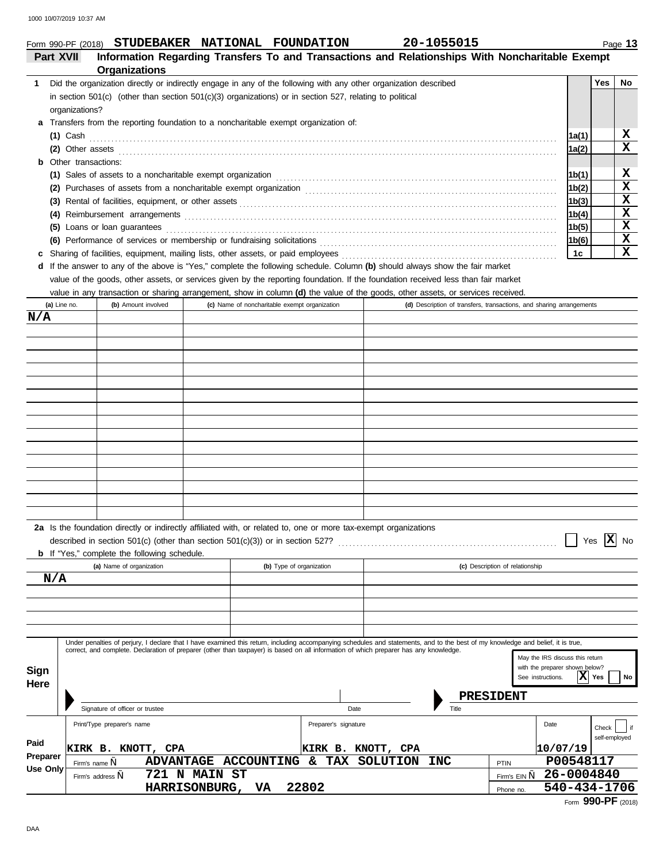# **STUDEBAKER NATIONAL FOUNDATION 20-1055015**

|                 | Form 990-PF (2018)  | STUDEBAKER NATIONAL FOUNDATION                                                                                                                                                                                                                                                                                            |               |                   |                          |                                               |      |                    | 20-1055015 |                                                                      |                 |               | Page 13 |
|-----------------|---------------------|---------------------------------------------------------------------------------------------------------------------------------------------------------------------------------------------------------------------------------------------------------------------------------------------------------------------------|---------------|-------------------|--------------------------|-----------------------------------------------|------|--------------------|------------|----------------------------------------------------------------------|-----------------|---------------|---------|
| Part XVII       |                     | Information Regarding Transfers To and Transactions and Relationships With Noncharitable Exempt<br>Organizations                                                                                                                                                                                                          |               |                   |                          |                                               |      |                    |            |                                                                      |                 |               |         |
| 1.              |                     | Did the organization directly or indirectly engage in any of the following with any other organization described                                                                                                                                                                                                          |               |                   |                          |                                               |      |                    |            |                                                                      |                 | <b>Yes</b>    | No      |
|                 |                     | in section 501(c) (other than section 501(c)(3) organizations) or in section 527, relating to political                                                                                                                                                                                                                   |               |                   |                          |                                               |      |                    |            |                                                                      |                 |               |         |
|                 | organizations?      |                                                                                                                                                                                                                                                                                                                           |               |                   |                          |                                               |      |                    |            |                                                                      |                 |               |         |
| a               |                     | Transfers from the reporting foundation to a noncharitable exempt organization of:                                                                                                                                                                                                                                        |               |                   |                          |                                               |      |                    |            |                                                                      |                 |               |         |
|                 | <b>(1)</b> Cash     |                                                                                                                                                                                                                                                                                                                           |               |                   |                          |                                               |      |                    |            |                                                                      | 1a(1)           |               | X       |
|                 |                     | (2) Other assets $\ldots$ and $\ldots$ are $\ldots$ and $\ldots$ are $\ldots$ are $\ldots$ and $\ldots$                                                                                                                                                                                                                   |               |                   |                          |                                               |      |                    |            |                                                                      | 1a(2)           |               | X       |
| b               | Other transactions: |                                                                                                                                                                                                                                                                                                                           |               |                   |                          |                                               |      |                    |            |                                                                      |                 |               |         |
|                 |                     | (1) Sales of assets to a noncharitable exempt organization                                                                                                                                                                                                                                                                |               |                   |                          |                                               |      |                    |            |                                                                      | 1b(1)           |               | x<br>X  |
|                 |                     |                                                                                                                                                                                                                                                                                                                           |               |                   |                          |                                               |      |                    |            |                                                                      | 1b(2)           |               | X       |
|                 |                     |                                                                                                                                                                                                                                                                                                                           |               |                   |                          |                                               |      |                    |            |                                                                      | 1b(3)<br> 1b(4) |               | X       |
| (4)             |                     | (5) Loans or loan guarantees                                                                                                                                                                                                                                                                                              |               |                   |                          |                                               |      |                    |            |                                                                      | 1b(5)           |               | х       |
|                 |                     |                                                                                                                                                                                                                                                                                                                           |               |                   |                          |                                               |      |                    |            |                                                                      | 1b(6)           |               | x       |
| c               |                     |                                                                                                                                                                                                                                                                                                                           |               |                   |                          |                                               |      |                    |            |                                                                      | 1c              |               | X       |
| d               |                     | If the answer to any of the above is "Yes," complete the following schedule. Column (b) should always show the fair market                                                                                                                                                                                                |               |                   |                          |                                               |      |                    |            |                                                                      |                 |               |         |
|                 |                     | value of the goods, other assets, or services given by the reporting foundation. If the foundation received less than fair market                                                                                                                                                                                         |               |                   |                          |                                               |      |                    |            |                                                                      |                 |               |         |
|                 |                     | value in any transaction or sharing arrangement, show in column (d) the value of the goods, other assets, or services received.                                                                                                                                                                                           |               |                   |                          |                                               |      |                    |            |                                                                      |                 |               |         |
|                 | (a) Line no.        | (b) Amount involved                                                                                                                                                                                                                                                                                                       |               |                   |                          | (c) Name of noncharitable exempt organization |      |                    |            | (d) Description of transfers, transactions, and sharing arrangements |                 |               |         |
| N/A             |                     |                                                                                                                                                                                                                                                                                                                           |               |                   |                          |                                               |      |                    |            |                                                                      |                 |               |         |
|                 |                     |                                                                                                                                                                                                                                                                                                                           |               |                   |                          |                                               |      |                    |            |                                                                      |                 |               |         |
|                 |                     |                                                                                                                                                                                                                                                                                                                           |               |                   |                          |                                               |      |                    |            |                                                                      |                 |               |         |
|                 |                     |                                                                                                                                                                                                                                                                                                                           |               |                   |                          |                                               |      |                    |            |                                                                      |                 |               |         |
|                 |                     |                                                                                                                                                                                                                                                                                                                           |               |                   |                          |                                               |      |                    |            |                                                                      |                 |               |         |
|                 |                     |                                                                                                                                                                                                                                                                                                                           |               |                   |                          |                                               |      |                    |            |                                                                      |                 |               |         |
|                 |                     |                                                                                                                                                                                                                                                                                                                           |               |                   |                          |                                               |      |                    |            |                                                                      |                 |               |         |
|                 |                     |                                                                                                                                                                                                                                                                                                                           |               |                   |                          |                                               |      |                    |            |                                                                      |                 |               |         |
|                 |                     |                                                                                                                                                                                                                                                                                                                           |               |                   |                          |                                               |      |                    |            |                                                                      |                 |               |         |
|                 |                     |                                                                                                                                                                                                                                                                                                                           |               |                   |                          |                                               |      |                    |            |                                                                      |                 |               |         |
|                 |                     |                                                                                                                                                                                                                                                                                                                           |               |                   |                          |                                               |      |                    |            |                                                                      |                 |               |         |
|                 |                     |                                                                                                                                                                                                                                                                                                                           |               |                   |                          |                                               |      |                    |            |                                                                      |                 |               |         |
|                 |                     |                                                                                                                                                                                                                                                                                                                           |               |                   |                          |                                               |      |                    |            |                                                                      |                 |               |         |
|                 |                     |                                                                                                                                                                                                                                                                                                                           |               |                   |                          |                                               |      |                    |            |                                                                      |                 |               |         |
|                 |                     |                                                                                                                                                                                                                                                                                                                           |               |                   |                          |                                               |      |                    |            |                                                                      |                 |               |         |
|                 |                     | 2a Is the foundation directly or indirectly affiliated with, or related to, one or more tax-exempt organizations                                                                                                                                                                                                          |               |                   |                          |                                               |      |                    |            |                                                                      |                 |               |         |
|                 |                     | described in section 501(c) (other than section 501(c)(3)) or in section 527?                                                                                                                                                                                                                                             |               |                   |                          |                                               |      |                    |            |                                                                      |                 | x<br>Yes      | No      |
|                 |                     | <b>b</b> If "Yes," complete the following schedule.                                                                                                                                                                                                                                                                       |               |                   |                          |                                               |      |                    |            |                                                                      |                 |               |         |
|                 |                     | (a) Name of organization                                                                                                                                                                                                                                                                                                  |               |                   | (b) Type of organization |                                               |      |                    |            | (c) Description of relationship                                      |                 |               |         |
| N/A             |                     |                                                                                                                                                                                                                                                                                                                           |               |                   |                          |                                               |      |                    |            |                                                                      |                 |               |         |
|                 |                     |                                                                                                                                                                                                                                                                                                                           |               |                   |                          |                                               |      |                    |            |                                                                      |                 |               |         |
|                 |                     |                                                                                                                                                                                                                                                                                                                           |               |                   |                          |                                               |      |                    |            |                                                                      |                 |               |         |
|                 |                     |                                                                                                                                                                                                                                                                                                                           |               |                   |                          |                                               |      |                    |            |                                                                      |                 |               |         |
|                 |                     |                                                                                                                                                                                                                                                                                                                           |               |                   |                          |                                               |      |                    |            |                                                                      |                 |               |         |
|                 |                     | Under penalties of perjury, I declare that I have examined this return, including accompanying schedules and statements, and to the best of my knowledge and belief, it is true,<br>correct, and complete. Declaration of preparer (other than taxpayer) is based on all information of which preparer has any knowledge. |               |                   |                          |                                               |      |                    |            |                                                                      |                 |               |         |
|                 |                     |                                                                                                                                                                                                                                                                                                                           |               |                   |                          |                                               |      |                    |            | May the IRS discuss this return<br>with the preparer shown below?    |                 |               |         |
| Sign            |                     |                                                                                                                                                                                                                                                                                                                           |               |                   |                          |                                               |      |                    |            | See instructions.                                                    | X               | Yes           | No      |
| Here            |                     |                                                                                                                                                                                                                                                                                                                           |               |                   |                          |                                               |      |                    |            |                                                                      |                 |               |         |
|                 |                     | Signature of officer or trustee                                                                                                                                                                                                                                                                                           |               |                   |                          |                                               | Date |                    | Title      | PRESIDENT                                                            |                 |               |         |
|                 |                     |                                                                                                                                                                                                                                                                                                                           |               |                   |                          |                                               |      |                    |            |                                                                      |                 |               |         |
|                 |                     | Print/Type preparer's name                                                                                                                                                                                                                                                                                                |               |                   |                          | Preparer's signature                          |      |                    |            | Date                                                                 |                 | Check         |         |
| Paid            |                     | KIRK B. KNOTT,<br><b>CPA</b>                                                                                                                                                                                                                                                                                              |               |                   |                          |                                               |      | KIRK B. KNOTT, CPA |            | 10/07/19                                                             |                 | self-employed |         |
| Preparer        | Firm's name,        | <b>ADVANTAGE</b>                                                                                                                                                                                                                                                                                                          |               | <b>ACCOUNTING</b> |                          | TAX<br>&.                                     |      | SOLUTION           | <b>INC</b> | PTIN                                                                 | P00548117       |               |         |
| <b>Use Only</b> |                     | Firm's address,                                                                                                                                                                                                                                                                                                           | 721 N MAIN ST |                   |                          |                                               |      |                    |            | Firm's EIN ,                                                         | 26-0004840      |               |         |
|                 |                     |                                                                                                                                                                                                                                                                                                                           |               |                   |                          |                                               |      |                    |            |                                                                      |                 |               |         |

Form **990-PF** (2018)

Phone no.

**HARRISONBURG, VA 22802 540-434-1706**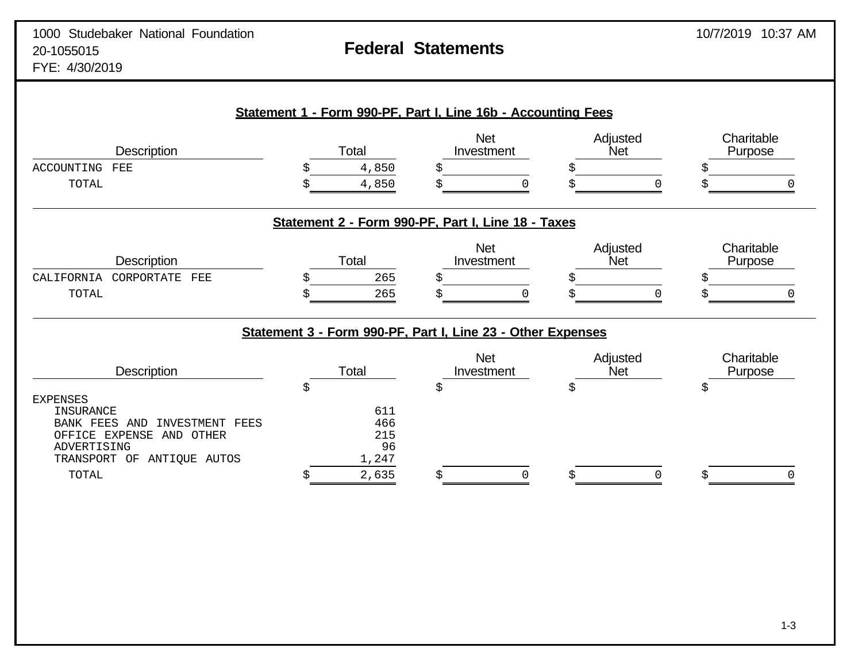# **Statement 1 - Form 990-PF, Part I, Line 16b - Accounting Fees** Net Adjusted Charitable<br>
Investment Net Purpose Description **Net Reserve Total** Total **Investment** Net Net Purpose ACCOUNTING FEE  $\qquad \qquad$   $\qquad \qquad$   $\qquad \qquad$   $\qquad \qquad$   $\qquad \qquad$   $\qquad \qquad$   $\qquad \qquad$   $\qquad \qquad$   $\qquad \qquad$   $\qquad \qquad$   $\qquad$   $\qquad$   $\qquad$   $\qquad$   $\qquad$   $\qquad$   $\qquad$   $\qquad$   $\qquad$   $\qquad$   $\qquad$   $\qquad$   $\qquad$   $\qquad$   $\qquad$   $\qquad$   $\qquad$   $\qquad$   $\qquad$   $\$  $\texttt{TOTAL} \qquad \qquad \texttt{\$} \qquad \qquad \texttt{\$} \qquad \texttt{\$} \qquad \texttt{\$} \qquad \texttt{\$} \qquad \qquad \texttt{\$} \qquad \qquad \texttt{\$} \qquad \qquad \texttt{\$} \qquad \qquad \texttt{\$} \qquad \qquad \texttt{\$} \qquad \qquad \texttt{\$} \qquad \qquad \texttt{\$} \qquad \qquad \texttt{\$} \qquad \qquad \texttt{\$} \qquad \qquad \texttt{\$} \qquad \qquad \texttt{\$} \qquad \qquad \texttt{\$} \qquad \qquad \texttt{\$} \qquad \qquad \$ **Statement 2 - Form 990-PF, Part I, Line 18 - Taxes** Net Adjusted Charitable<br>
Investment Net Purpose Description **Net Reserve Total** Total **Investment** Net Net Purpose CALIFORNIA CORPORTATE FEE  $\zeta$  265  $\zeta$   $\zeta$  $\texttt{TOTAL} \qquad \qquad \texttt{\$} \qquad \qquad \texttt{265} \qquad \texttt{\$} \qquad \qquad \texttt{0} \qquad \texttt{\$} \qquad \qquad \texttt{0} \qquad \texttt{\$} \qquad \qquad \texttt{0} \qquad \qquad \texttt{\$} \qquad \qquad \texttt{0}$ **Statement 3 - Form 990-PF, Part I, Line 23 - Other Expenses** Net Adjusted Charitable<br>
Investment Net Purpose Description **Net Accord Total** Total **Investment** Net Net Purpose  $\begin{matrix} \mathbf{\dot{S}} \end{matrix}$ EXPENSES INSURANCE 611 BANK FEES AND INVESTMENT FEES 466 OFFICE EXPENSE AND OTHER 215 ADVERTISING 96<br>TRANSPORT OF ANTIOUE AUTOS 1,247 TRANSPORT OF ANTIOUE AUTOS  $\texttt{TOTAL} \qquad \qquad \texttt{\$} \qquad \qquad \texttt{\$} \qquad \qquad \texttt{\$} \qquad \qquad \texttt{\$} \qquad \qquad \texttt{\$} \qquad \qquad \texttt{\$} \qquad \qquad \texttt{\$} \qquad \qquad \texttt{\$} \qquad \qquad \texttt{\$} \qquad \qquad \texttt{\$} \qquad \qquad \texttt{\$} \qquad \qquad \texttt{\$} \qquad \qquad \texttt{\$} \qquad \qquad \texttt{\$} \qquad \qquad \texttt{\$} \qquad \qquad \texttt{\$} \qquad \qquad \texttt{\$} \qquad \qquad \texttt{\$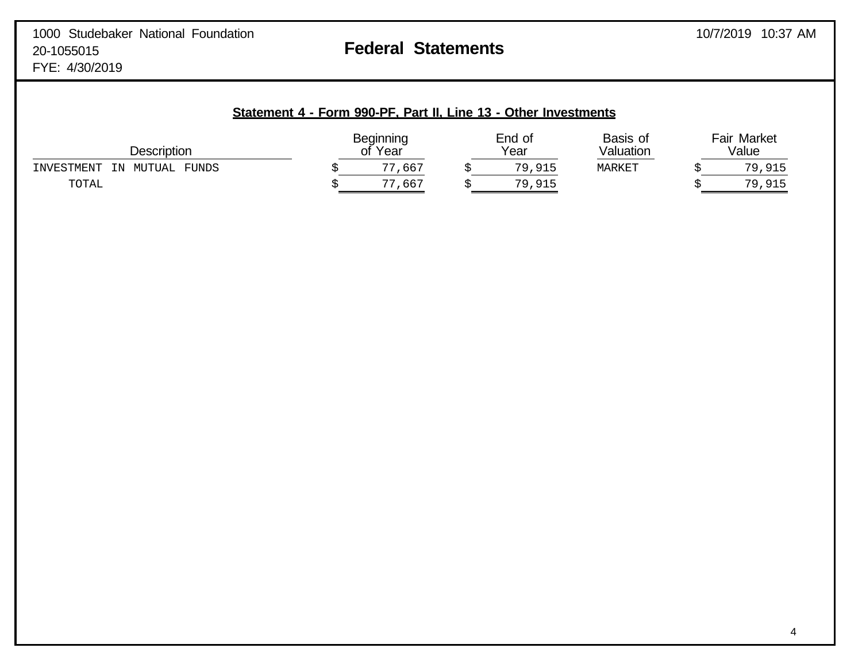| Statement 4 - Form 990-PF, Part II, Line 13 - Other Investments |  |  |  |
|-----------------------------------------------------------------|--|--|--|
|-----------------------------------------------------------------|--|--|--|

| <b>Description</b>                         | <b>Beginning</b><br>Year<br>Оt |  | End of<br>Year | Basis of<br>Valuation | <b>Fair Market</b><br>Value |        |
|--------------------------------------------|--------------------------------|--|----------------|-----------------------|-----------------------------|--------|
| <b>FUNDS</b><br>INVESTMENT<br>MUTUAL<br>TN | ,667<br>77                     |  | 79,915         | MARKET                |                             | 79,915 |
| TOTAL                                      | ,667<br>חח                     |  | 79,915         |                       |                             | 79,915 |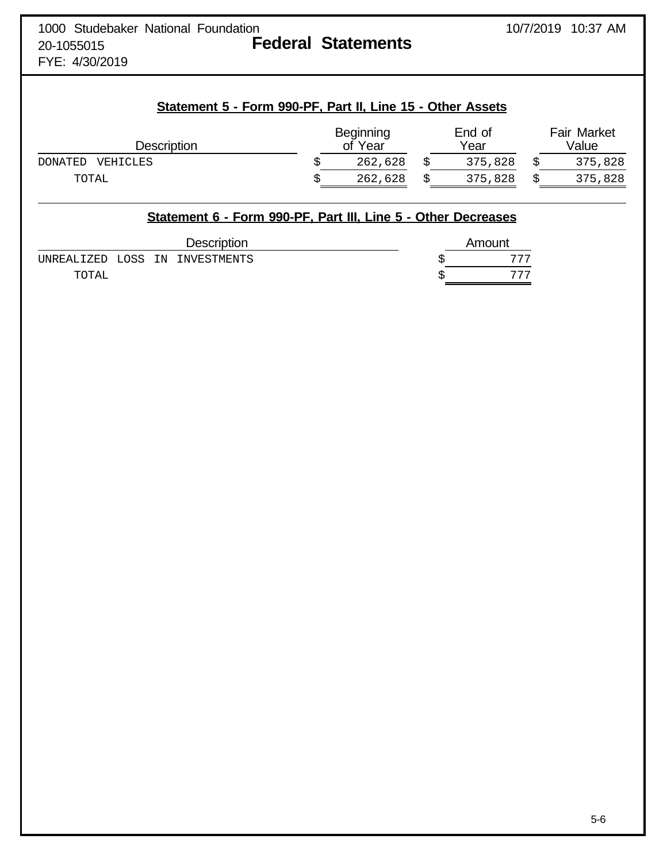FYE: 4/30/2019

# **Statement 5 - Form 990-PF, Part II, Line 15 - Other Assets**

| Description         |  | Beginning<br>of Year |  | End of<br>Year |  | <b>Fair Market</b><br>Value |  |
|---------------------|--|----------------------|--|----------------|--|-----------------------------|--|
| DONATED<br>VEHICLES |  | 262,628              |  | 375,828        |  | 375,828                     |  |
| TOTAL               |  | 262,628              |  | 375,828        |  | 375,828                     |  |

# **Statement 6 - Form 990-PF, Part III, Line 5 - Other Decreases** Description **Amount** UNREALIZED LOSS IN INVESTMENTS  $$$  777 TOTAL  $\sim$  777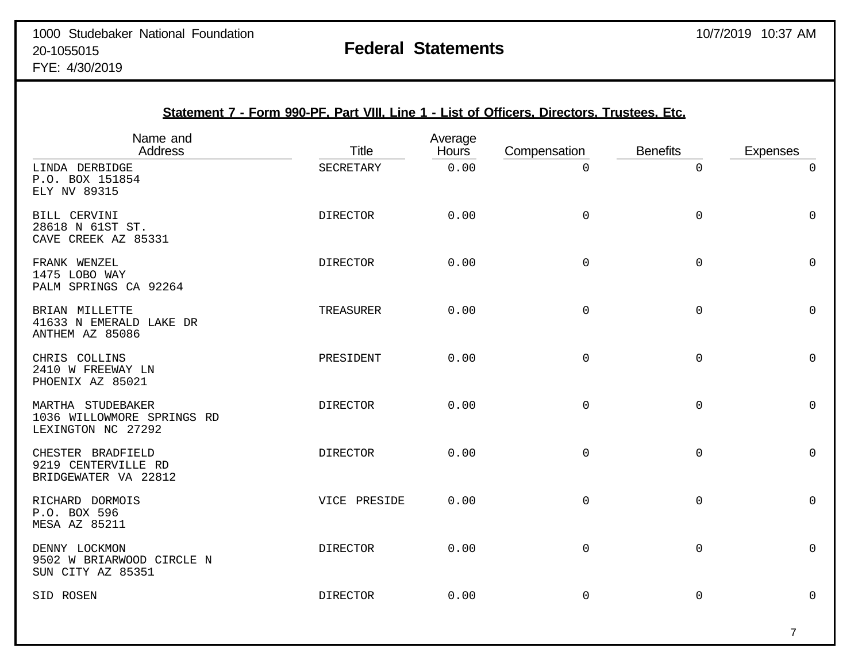|                                                                       | Statement 7 - Form 990-PF, Part VIII, Line 1 - List of Officers, Directors, Trustees, Etc. |                  |              |                     |                 |
|-----------------------------------------------------------------------|--------------------------------------------------------------------------------------------|------------------|--------------|---------------------|-----------------|
| Name and<br><b>Address</b>                                            | <b>Title</b>                                                                               | Average<br>Hours | Compensation | <b>Benefits</b>     | <b>Expenses</b> |
| LINDA DERBIDGE<br>P.O. BOX 151854<br>ELY NV 89315                     | SECRETARY                                                                                  | 0.00             | $\mathsf 0$  | 0                   | 0               |
| BILL CERVINI<br>28618 N 61ST ST.<br>CAVE CREEK AZ 85331               | <b>DIRECTOR</b>                                                                            | 0.00             | 0            | 0                   | $\Omega$        |
| FRANK WENZEL<br>1475 LOBO WAY<br>PALM SPRINGS CA 92264                | <b>DIRECTOR</b>                                                                            | 0.00             | $\Omega$     | 0                   | $\Omega$        |
| BRIAN MILLETTE<br>41633 N EMERALD LAKE DR<br>ANTHEM AZ 85086          | TREASURER                                                                                  | 0.00             | $\mathsf 0$  | $\mathsf{O}\xspace$ | $\mathbf 0$     |
| CHRIS COLLINS<br>2410 W FREEWAY LN<br>PHOENIX AZ 85021                | PRESIDENT                                                                                  | 0.00             | $\mathsf 0$  | $\mathsf{O}\xspace$ | 0               |
| MARTHA STUDEBAKER<br>1036 WILLOWMORE SPRINGS RD<br>LEXINGTON NC 27292 | <b>DIRECTOR</b>                                                                            | 0.00             | 0            | $\mathsf 0$         | $\Omega$        |
| CHESTER BRADFIELD<br>9219 CENTERVILLE RD<br>BRIDGEWATER VA 22812      | <b>DIRECTOR</b>                                                                            | 0.00             | $\mathsf 0$  | $\mathbf 0$         | $\mathbf 0$     |
| RICHARD DORMOIS<br>P.O. BOX 596<br><b>MESA AZ 85211</b>               | VICE PRESIDE                                                                               | 0.00             | 0            | $\mathsf 0$         | $\mathbf 0$     |
| DENNY LOCKMON<br>9502 W BRIARWOOD CIRCLE N<br>SUN CITY AZ 85351       | <b>DIRECTOR</b>                                                                            | 0.00             | $\mathbf 0$  | 0                   | $\Omega$        |
| SID ROSEN                                                             | <b>DIRECTOR</b>                                                                            | 0.00             | $\mathbf 0$  | 0                   | $\mathbf 0$     |

### 7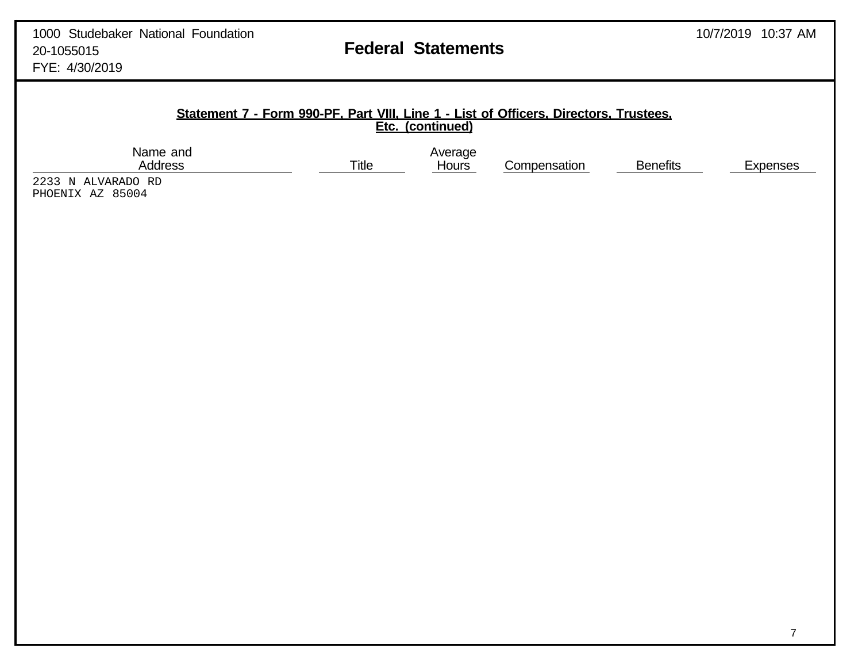Compensation Benefits Expenses

## **Statement 7 - Form 990-PF, Part VIII, Line 1 - List of Officers, Directors, Trustees, Etc. (continued)**

Name and Average Average Address and Average Address and Average Average Average Average Average Average Average Average Average Average Average Average Average Average Average Average Average Average Average Average Avera

2233 N ALVARADO RD PHOENIX AZ 85004

7